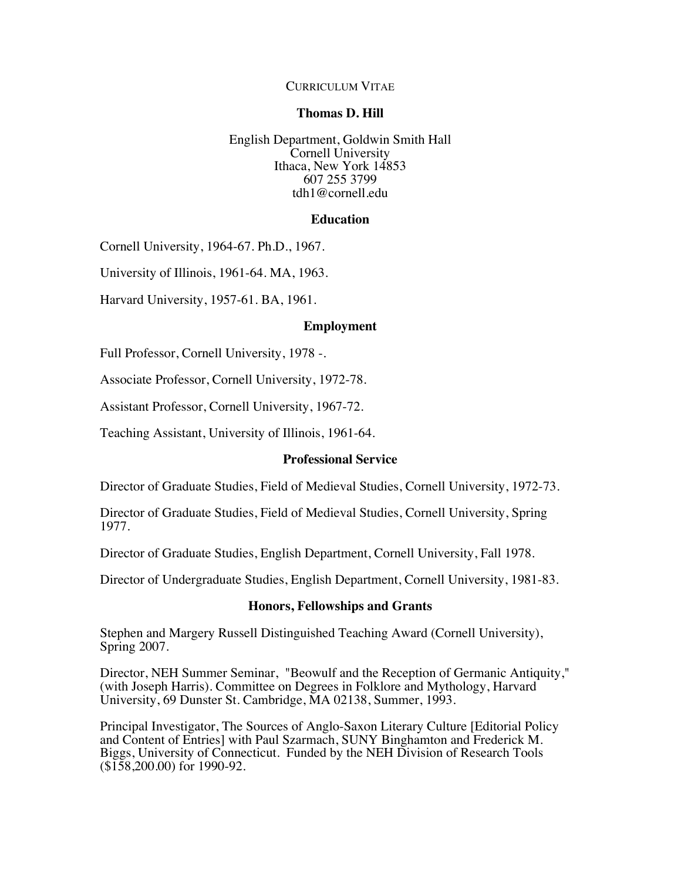## CURRICULUM VITAE

### **Thomas D. Hill**

English Department, Goldwin Smith Hall Cornell University Ithaca, New York 14853 607 255 3799 tdh1@cornell.edu

### **Education**

Cornell University, 1964-67. Ph.D., 1967.

University of Illinois, 1961-64. MA, 1963.

Harvard University, 1957-61. BA, 1961.

#### **Employment**

Full Professor, Cornell University, 1978 -.

Associate Professor, Cornell University, 1972-78.

Assistant Professor, Cornell University, 1967-72.

Teaching Assistant, University of Illinois, 1961-64.

### **Professional Service**

Director of Graduate Studies, Field of Medieval Studies, Cornell University, 1972-73.

Director of Graduate Studies, Field of Medieval Studies, Cornell University, Spring 1977.

Director of Graduate Studies, English Department, Cornell University, Fall 1978.

Director of Undergraduate Studies, English Department, Cornell University, 1981-83.

### **Honors, Fellowships and Grants**

Stephen and Margery Russell Distinguished Teaching Award (Cornell University), Spring 2007.

Director, NEH Summer Seminar, "Beowulf and the Reception of Germanic Antiquity," (with Joseph Harris). Committee on Degrees in Folklore and Mythology, Harvard University, 69 Dunster St. Cambridge, MA 02138, Summer, 1993.

Principal Investigator, The Sources of Anglo-Saxon Literary Culture [Editorial Policy and Content of Entries] with Paul Szarmach, SUNY Binghamton and Frederick M. Biggs, University of Connecticut. Funded by the NEH Division of Research Tools  $($158,200.00)$  for 1990-92.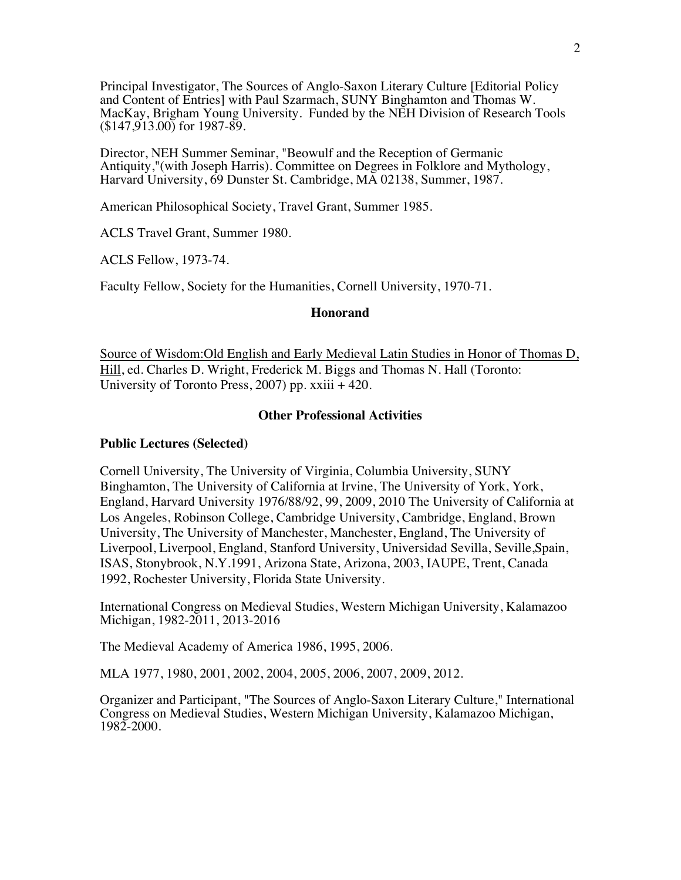Principal Investigator, The Sources of Anglo-Saxon Literary Culture [Editorial Policy and Content of Entries] with Paul Szarmach, SUNY Binghamton and Thomas W. MacKay, Brigham Young University. Funded by the NEH Division of Research Tools (\$147,913.00) for 1987-89.

Director, NEH Summer Seminar, "Beowulf and the Reception of Germanic Antiquity,"(with Joseph Harris). Committee on Degrees in Folklore and Mythology, Harvard University, 69 Dunster St. Cambridge, MA 02138, Summer, 1987.

American Philosophical Society, Travel Grant, Summer 1985.

ACLS Travel Grant, Summer 1980.

ACLS Fellow, 1973-74.

Faculty Fellow, Society for the Humanities, Cornell University, 1970-71.

#### **Honorand**

Source of Wisdom:Old English and Early Medieval Latin Studies in Honor of Thomas D, Hill, ed. Charles D. Wright, Frederick M. Biggs and Thomas N. Hall (Toronto: University of Toronto Press, 2007) pp. xxiii + 420.

#### **Other Professional Activities**

#### **Public Lectures (Selected)**

Cornell University, The University of Virginia, Columbia University, SUNY Binghamton, The University of California at Irvine, The University of York, York, England, Harvard University 1976/88/92, 99, 2009, 2010 The University of California at Los Angeles, Robinson College, Cambridge University, Cambridge, England, Brown University, The University of Manchester, Manchester, England, The University of Liverpool, Liverpool, England, Stanford University, Universidad Sevilla, Seville,Spain, ISAS, Stonybrook, N.Y.1991, Arizona State, Arizona, 2003, IAUPE, Trent, Canada 1992, Rochester University, Florida State University.

International Congress on Medieval Studies, Western Michigan University, Kalamazoo Michigan, 1982-2011, 2013-2016

The Medieval Academy of America 1986, 1995, 2006.

MLA 1977, 1980, 2001, 2002, 2004, 2005, 2006, 2007, 2009, 2012.

Organizer and Participant, "The Sources of Anglo-Saxon Literary Culture," International Congress on Medieval Studies, Western Michigan University, Kalamazoo Michigan, 1982-2000.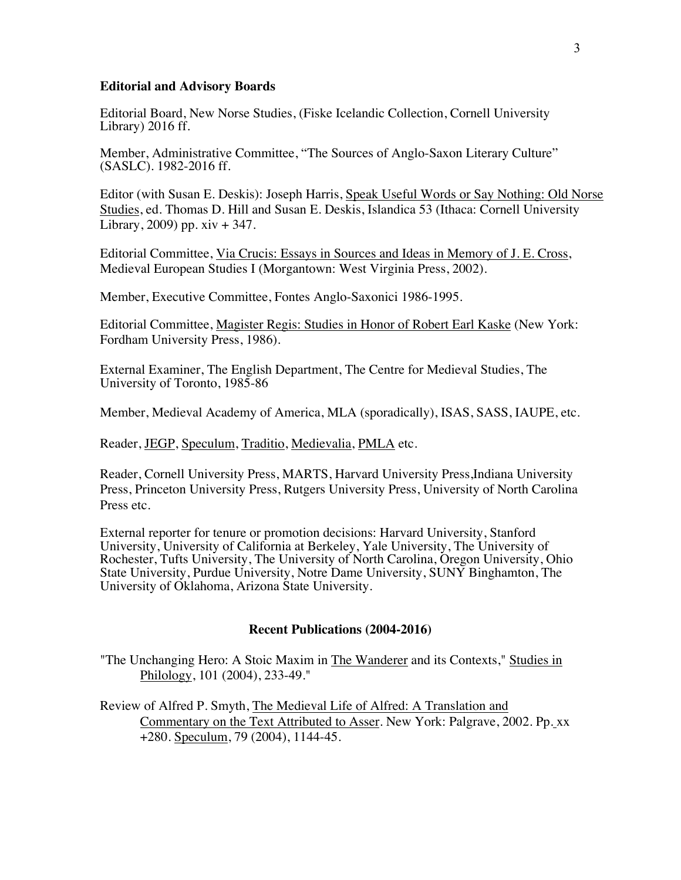#### **Editorial and Advisory Boards**

Editorial Board, New Norse Studies, (Fiske Icelandic Collection, Cornell University Library) 2016 ff.

Member, Administrative Committee, "The Sources of Anglo-Saxon Literary Culture" (SASLC). 1982-2016 ff.

Editor (with Susan E. Deskis): Joseph Harris, Speak Useful Words or Say Nothing: Old Norse Studies, ed. Thomas D. Hill and Susan E. Deskis, Islandica 53 (Ithaca: Cornell University Library,  $2009$ ) pp.  $xiv + 347$ .

Editorial Committee, Via Crucis: Essays in Sources and Ideas in Memory of J. E. Cross, Medieval European Studies I (Morgantown: West Virginia Press, 2002).

Member, Executive Committee, Fontes Anglo-Saxonici 1986-1995.

Editorial Committee, Magister Regis: Studies in Honor of Robert Earl Kaske (New York: Fordham University Press, 1986).

External Examiner, The English Department, The Centre for Medieval Studies, The University of Toronto, 1985-86

Member, Medieval Academy of America, MLA (sporadically), ISAS, SASS, IAUPE, etc.

Reader, JEGP, Speculum, Traditio, Medievalia, PMLA etc.

Reader, Cornell University Press, MARTS, Harvard University Press,Indiana University Press, Princeton University Press, Rutgers University Press, University of North Carolina Press etc.

External reporter for tenure or promotion decisions: Harvard University, Stanford University, University of California at Berkeley, Yale University, The University of Rochester, Tufts University, The University of North Carolina, Oregon University, Ohio State University, Purdue University, Notre Dame University, SUNY Binghamton, The University of Oklahoma, Arizona State University.

## **Recent Publications (2004-2016)**

"The Unchanging Hero: A Stoic Maxim in The Wanderer and its Contexts," Studies in Philology, 101 (2004), 233-49."

Review of Alfred P. Smyth, The Medieval Life of Alfred: A Translation and Commentary on the Text Attributed to Asser. New York: Palgrave, 2002. Pp. xx +280. Speculum, 79 (2004), 1144-45.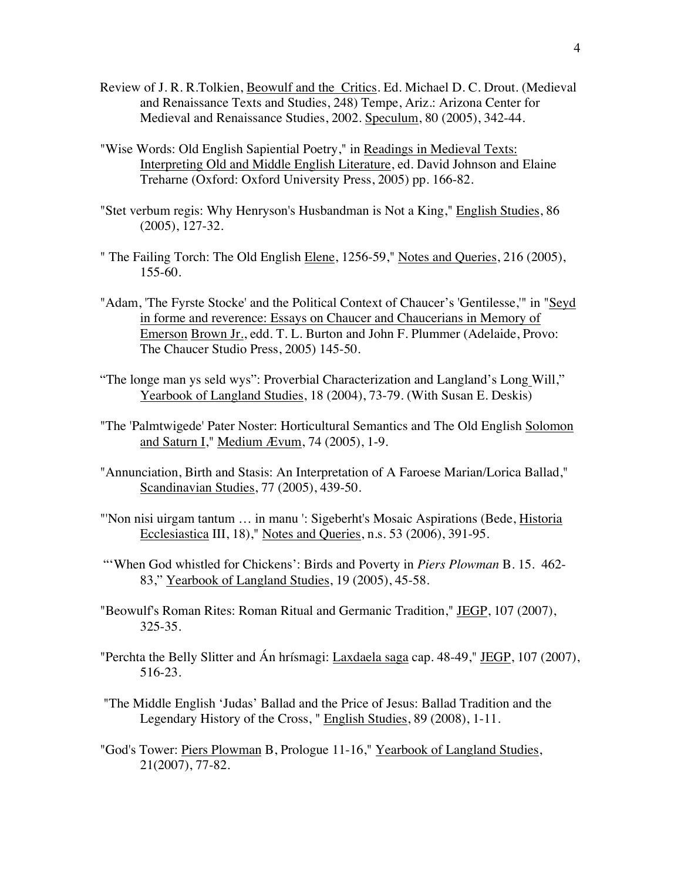- Review of J. R. R.Tolkien, Beowulf and the Critics. Ed. Michael D. C. Drout. (Medieval and Renaissance Texts and Studies, 248) Tempe, Ariz.: Arizona Center for Medieval and Renaissance Studies, 2002. Speculum, 80 (2005), 342-44.
- "Wise Words: Old English Sapiential Poetry," in Readings in Medieval Texts: Interpreting Old and Middle English Literature, ed. David Johnson and Elaine Treharne (Oxford: Oxford University Press, 2005) pp. 166-82.
- "Stet verbum regis: Why Henryson's Husbandman is Not a King," English Studies, 86 (2005), 127-32.
- " The Failing Torch: The Old English Elene, 1256-59," Notes and Queries, 216 (2005), 155-60.
- "Adam, 'The Fyrste Stocke' and the Political Context of Chaucer's 'Gentilesse,'" in "Seyd in forme and reverence: Essays on Chaucer and Chaucerians in Memory of Emerson Brown Jr., edd. T. L. Burton and John F. Plummer (Adelaide, Provo: The Chaucer Studio Press, 2005) 145-50.
- "The longe man ys seld wys": Proverbial Characterization and Langland's Long Will," Yearbook of Langland Studies, 18 (2004), 73-79. (With Susan E. Deskis)
- "The 'Palmtwigede' Pater Noster: Horticultural Semantics and The Old English Solomon and Saturn I," Medium Ævum, 74 (2005), 1-9.
- "Annunciation, Birth and Stasis: An Interpretation of A Faroese Marian/Lorica Ballad," Scandinavian Studies, 77 (2005), 439-50.
- "'Non nisi uirgam tantum … in manu ': Sigeberht's Mosaic Aspirations (Bede, Historia Ecclesiastica III, 18)," Notes and Queries, n.s. 53 (2006), 391-95.
- "'When God whistled for Chickens': Birds and Poverty in *Piers Plowman* B. 15. 462- 83," Yearbook of Langland Studies, 19 (2005), 45-58.
- "Beowulf's Roman Rites: Roman Ritual and Germanic Tradition," JEGP, 107 (2007), 325-35.
- "Perchta the Belly Slitter and Án hrísmagi: Laxdaela saga cap. 48-49," JEGP, 107 (2007), 516-23.
- "The Middle English 'Judas' Ballad and the Price of Jesus: Ballad Tradition and the Legendary History of the Cross, " English Studies, 89 (2008), 1-11.
- "God's Tower: Piers Plowman B, Prologue 11-16," Yearbook of Langland Studies, 21(2007), 77-82.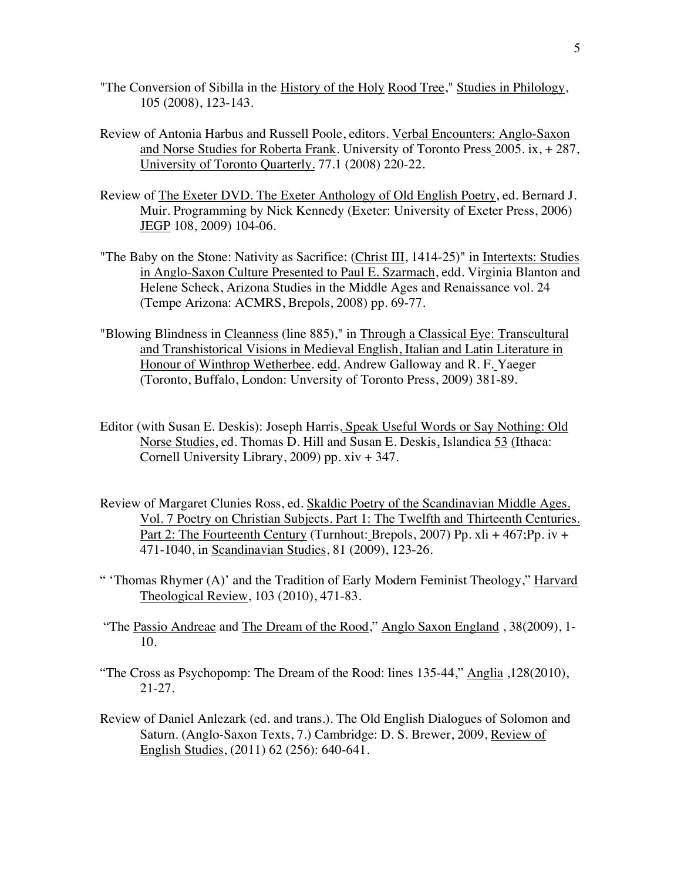- "The Conversion of Sibilla in the History of the Holy Rood Tree," Studies in Philology, 105 (2008), 123-143.
- Review of Antonia Harbus and Russell Poole, editors. Verbal Encounters: Anglo-Saxon and Norse Studies for Roberta Frank. University of Toronto Press 2005. ix, + 287, University of Toronto Quarterly. 77.1 (2008) 220-22.
- Review of The Exeter DVD. The Exeter Anthology of Old English Poetry, ed. Bernard J. Muir. Programming by Nick Kennedy (Exeter: University of Exeter Press, 2006) JEGP 108, 2009) 104-06.
- "The Baby on the Stone: Nativity as Sacrifice: (Christ III, 1414-25)" in Intertexts: Studies in Anglo-Saxon Culture Presented to Paul E. Szarmach, edd. Virginia Blanton and Helene Scheck, Arizona Studies in the Middle Ages and Renaissance vol. 24 (Tempe Arizona: ACMRS, Brepols, 2008) pp. 69-77.
- "Blowing Blindness in Cleanness (line 885)," in Through a Classical Eye: Transcultural and Transhistorical Visions in Medieval English, Italian and Latin Literature in Honour of Winthrop Wetherbee. edd. Andrew Galloway and R. F. Yaeger (Toronto, Buffalo, London: Unversity of Toronto Press, 2009) 381-89.
- Editor (with Susan E. Deskis): Joseph Harris, Speak Useful Words or Say Nothing: Old Norse Studies, ed. Thomas D. Hill and Susan E. Deskis, Islandica 53 (Ithaca: Cornell University Library, 2009) pp. xiv + 347.
- Review of Margaret Clunies Ross, ed. Skaldic Poetry of the Scandinavian Middle Ages. Vol. 7 Poetry on Christian Subjects. Part 1: The Twelfth and Thirteenth Centuries. Part 2: The Fourteenth Century (Turnhout: Brepols, 2007) Pp.  $xI_1 + 467$ ; Pp. iv + 471-1040, in Scandinavian Studies, 81 (2009), 123-26.
- " 'Thomas Rhymer (A)' and the Tradition of Early Modern Feminist Theology," Harvard Theological Review, 103 (2010), 471-83.
- "The Passio Andreae and The Dream of the Rood," Anglo Saxon England , 38(2009), 1- 10.
- "The Cross as Psychopomp: The Dream of the Rood: lines 135-44," Anglia ,128(2010), 21-27.
- Review of Daniel Anlezark (ed. and trans.). The Old English Dialogues of Solomon and Saturn. (Anglo-Saxon Texts, 7.) Cambridge: D. S. Brewer, 2009, Review of English Studies, (2011) 62 (256): 640-641.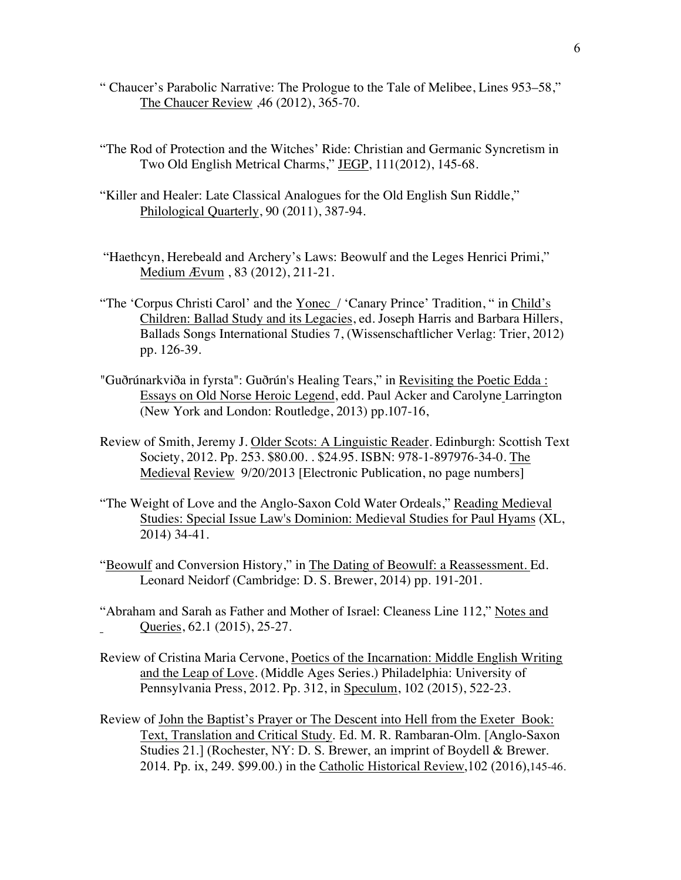- " Chaucer's Parabolic Narrative: The Prologue to the Tale of Melibee, Lines 953–58," The Chaucer Review ,46 (2012), 365-70.
- "The Rod of Protection and the Witches' Ride: Christian and Germanic Syncretism in Two Old English Metrical Charms," JEGP, 111(2012), 145-68.
- "Killer and Healer: Late Classical Analogues for the Old English Sun Riddle," Philological Quarterly, 90 (2011), 387-94.
- "Haethcyn, Herebeald and Archery's Laws: Beowulf and the Leges Henrici Primi," Medium Ævum , 83 (2012), 211-21.
- "The 'Corpus Christi Carol' and the Yonec / 'Canary Prince' Tradition, " in Child's Children: Ballad Study and its Legacies, ed. Joseph Harris and Barbara Hillers, Ballads Songs International Studies 7, (Wissenschaftlicher Verlag: Trier, 2012) pp. 126-39.
- "Guðrúnarkviða in fyrsta": Guðrún's Healing Tears," in Revisiting the Poetic Edda : Essays on Old Norse Heroic Legend, edd. Paul Acker and Carolyne Larrington (New York and London: Routledge, 2013) pp.107-16,
- Review of Smith, Jeremy J. Older Scots: A Linguistic Reader. Edinburgh: Scottish Text Society, 2012. Pp. 253. \$80.00. . \$24.95. ISBN: 978-1-897976-34-0. The Medieval Review 9/20/2013 [Electronic Publication, no page numbers]
- "The Weight of Love and the Anglo-Saxon Cold Water Ordeals," Reading Medieval Studies: Special Issue Law's Dominion: Medieval Studies for Paul Hyams (XL, 2014) 34-41.
- "Beowulf and Conversion History," in The Dating of Beowulf: a Reassessment. Ed. Leonard Neidorf (Cambridge: D. S. Brewer, 2014) pp. 191-201.
- "Abraham and Sarah as Father and Mother of Israel: Cleaness Line 112," Notes and Queries, 62.1 (2015), 25-27.
- Review of Cristina Maria Cervone, Poetics of the Incarnation: Middle English Writing and the Leap of Love. (Middle Ages Series.) Philadelphia: University of Pennsylvania Press, 2012. Pp. 312, in Speculum, 102 (2015), 522-23.
- Review of John the Baptist's Prayer or The Descent into Hell from the Exeter Book: Text, Translation and Critical Study. Ed. M. R. Rambaran-Olm. [Anglo-Saxon Studies 21.] (Rochester, NY: D. S. Brewer, an imprint of Boydell & Brewer. 2014. Pp. ix, 249. \$99.00.) in the Catholic Historical Review,102 (2016),145-46.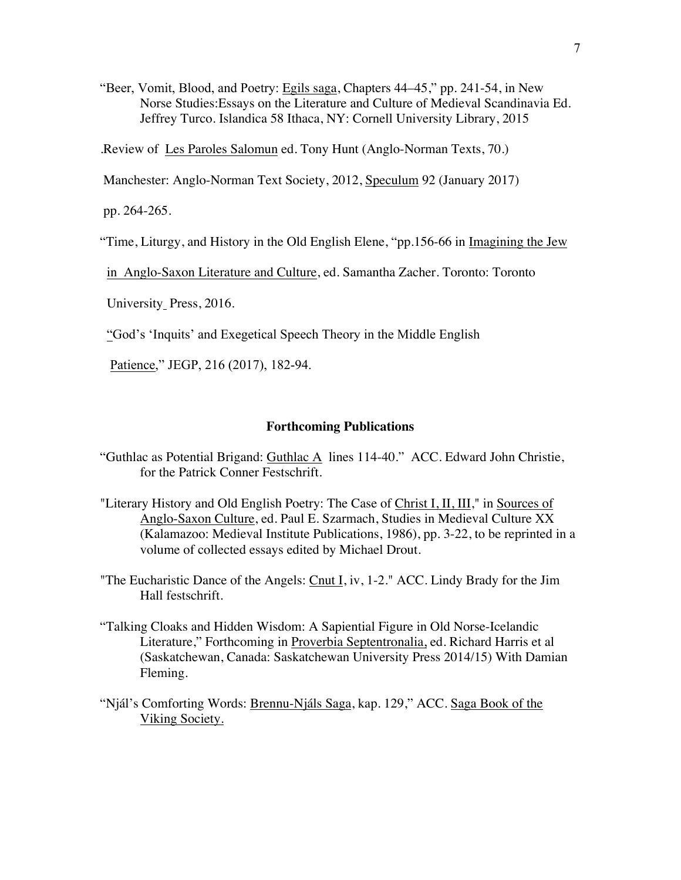"Beer, Vomit, Blood, and Poetry: Egils saga, Chapters 44–45," pp. 241-54, in New Norse Studies:Essays on the Literature and Culture of Medieval Scandinavia Ed. Jeffrey Turco. Islandica 58 Ithaca, NY: Cornell University Library, 2015

.Review of Les Paroles Salomun ed. Tony Hunt (Anglo-Norman Texts, 70.)

Manchester: Anglo-Norman Text Society, 2012, Speculum 92 (January 2017)

pp. 264-265.

"Time, Liturgy, and History in the Old English Elene, "pp.156-66 in Imagining the Jew

in Anglo-Saxon Literature and Culture, ed. Samantha Zacher. Toronto: Toronto

University Press, 2016.

"God's 'Inquits' and Exegetical Speech Theory in the Middle English

Patience," JEGP, 216 (2017), 182-94.

### **Forthcoming Publications**

- "Guthlac as Potential Brigand: Guthlac A lines 114-40." ACC. Edward John Christie, for the Patrick Conner Festschrift.
- "Literary History and Old English Poetry: The Case of Christ I, II, III," in Sources of Anglo-Saxon Culture, ed. Paul E. Szarmach, Studies in Medieval Culture XX (Kalamazoo: Medieval Institute Publications, 1986), pp. 3-22, to be reprinted in a volume of collected essays edited by Michael Drout.
- "The Eucharistic Dance of the Angels: Cnut I, iv, 1-2." ACC. Lindy Brady for the Jim Hall festschrift.
- "Talking Cloaks and Hidden Wisdom: A Sapiential Figure in Old Norse-Icelandic Literature," Forthcoming in Proverbia Septentronalia, ed. Richard Harris et al (Saskatchewan, Canada: Saskatchewan University Press 2014/15) With Damian Fleming.
- "Njál's Comforting Words: Brennu-Njáls Saga, kap. 129," ACC. Saga Book of the Viking Society.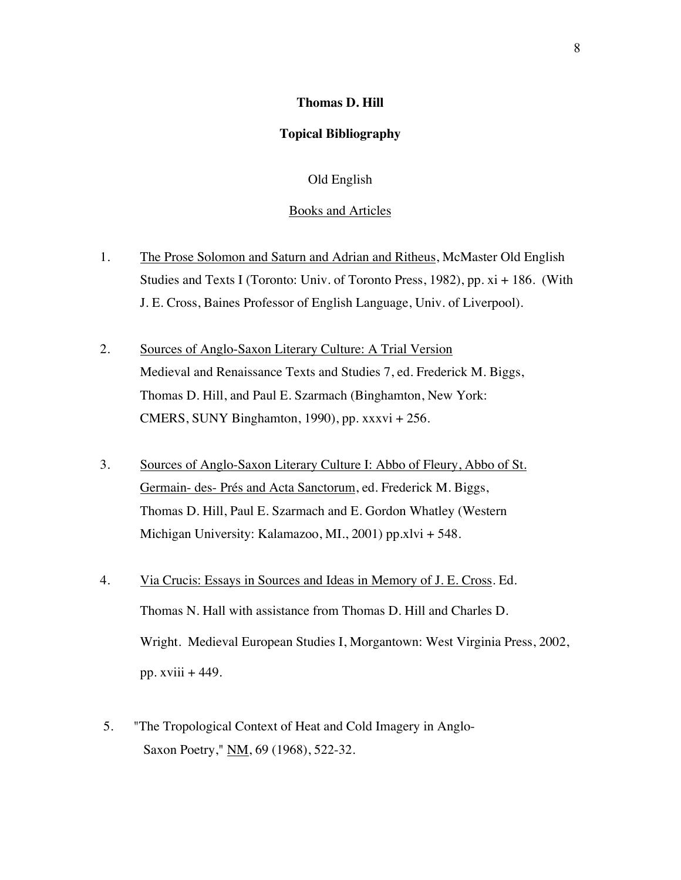#### **Thomas D. Hill**

### **Topical Bibliography**

## Old English

## Books and Articles

- 1. The Prose Solomon and Saturn and Adrian and Ritheus, McMaster Old English Studies and Texts I (Toronto: Univ. of Toronto Press, 1982), pp. xi + 186. (With J. E. Cross, Baines Professor of English Language, Univ. of Liverpool).
- 2. Sources of Anglo-Saxon Literary Culture: A Trial Version Medieval and Renaissance Texts and Studies 7, ed. Frederick M. Biggs, Thomas D. Hill, and Paul E. Szarmach (Binghamton, New York: CMERS, SUNY Binghamton, 1990), pp. xxxvi + 256.
- 3. Sources of Anglo-Saxon Literary Culture I: Abbo of Fleury, Abbo of St. Germain- des- Prés and Acta Sanctorum, ed. Frederick M. Biggs, Thomas D. Hill, Paul E. Szarmach and E. Gordon Whatley (Western Michigan University: Kalamazoo, MI., 2001) pp.xlvi + 548.
- 4. Via Crucis: Essays in Sources and Ideas in Memory of J. E. Cross. Ed. Thomas N. Hall with assistance from Thomas D. Hill and Charles D. Wright. Medieval European Studies I, Morgantown: West Virginia Press, 2002, pp. xviii + 449.
- 5. "The Tropological Context of Heat and Cold Imagery in Anglo- Saxon Poetry," NM, 69 (1968), 522-32.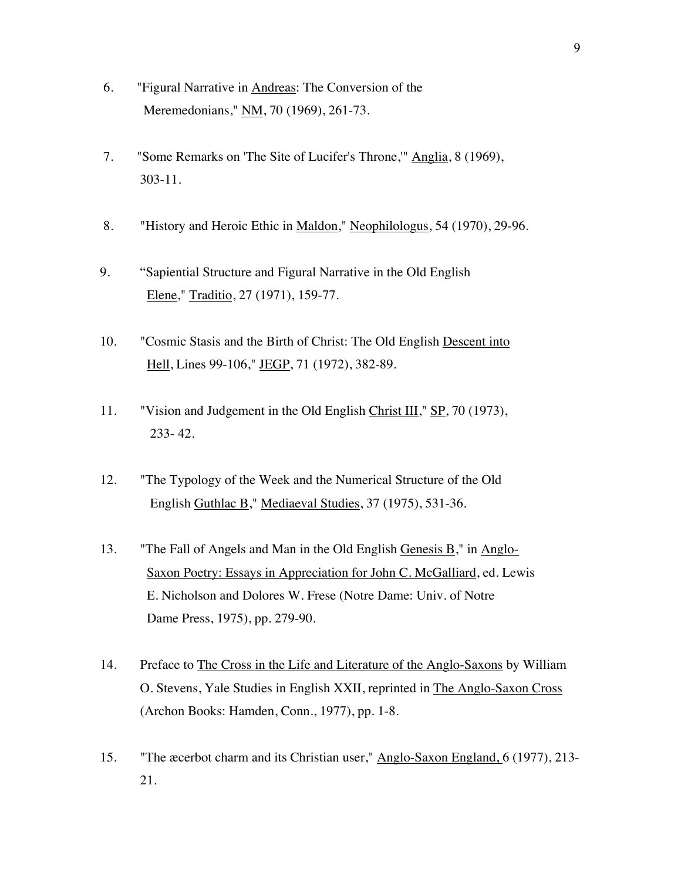- 6. "Figural Narrative in Andreas: The Conversion of the Meremedonians," NM, 70 (1969), 261-73.
- 7. "Some Remarks on 'The Site of Lucifer's Throne,'" Anglia, 8 (1969), 303-11.
- 8. "History and Heroic Ethic in Maldon," Neophilologus, 54 (1970), 29-96.
- 9. "Sapiential Structure and Figural Narrative in the Old English Elene," Traditio, 27 (1971), 159-77.
- 10. "Cosmic Stasis and the Birth of Christ: The Old English Descent into Hell, Lines 99-106," JEGP, 71 (1972), 382-89.
- 11. "Vision and Judgement in the Old English Christ III," SP, 70 (1973), 233- 42.
- 12. "The Typology of the Week and the Numerical Structure of the Old English Guthlac B," Mediaeval Studies, 37 (1975), 531-36.
- 13. "The Fall of Angels and Man in the Old English Genesis B," in Anglo- Saxon Poetry: Essays in Appreciation for John C. McGalliard, ed. Lewis E. Nicholson and Dolores W. Frese (Notre Dame: Univ. of Notre Dame Press, 1975), pp. 279-90.
- 14. Preface to The Cross in the Life and Literature of the Anglo-Saxons by William O. Stevens, Yale Studies in English XXII, reprinted in The Anglo-Saxon Cross (Archon Books: Hamden, Conn., 1977), pp. 1-8.
- 15. "The æcerbot charm and its Christian user," Anglo-Saxon England, 6 (1977), 213- 21.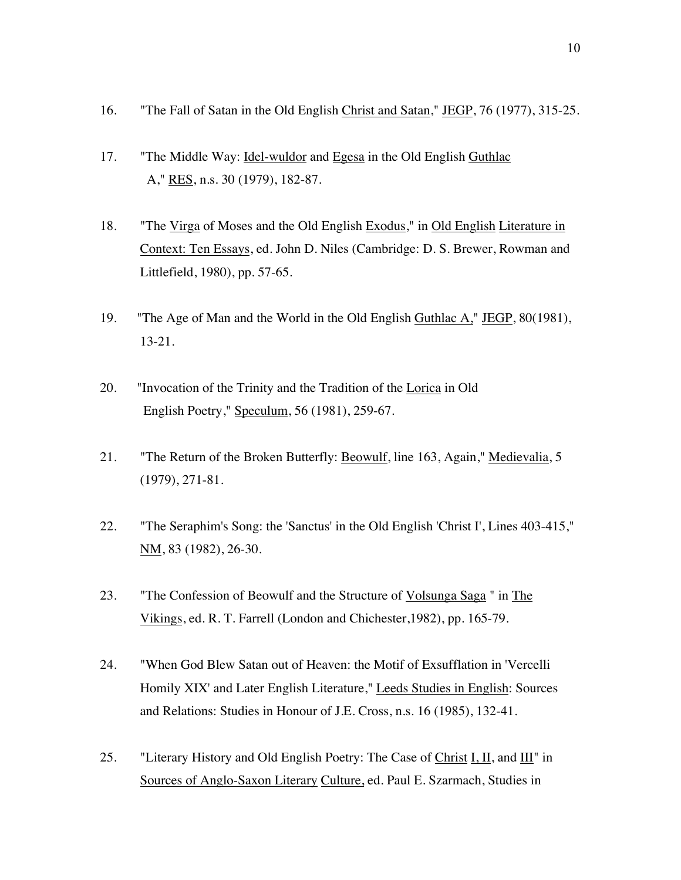- 16. "The Fall of Satan in the Old English Christ and Satan," JEGP, 76 (1977), 315-25.
- 17. "The Middle Way: Idel-wuldor and Egesa in the Old English Guthlac A," RES, n.s. 30 (1979), 182-87.
- 18. "The Virga of Moses and the Old English Exodus," in Old English Literature in Context: Ten Essays, ed. John D. Niles (Cambridge: D. S. Brewer, Rowman and Littlefield, 1980), pp. 57-65.
- 19. "The Age of Man and the World in the Old English Guthlac A," JEGP, 80(1981), 13-21.
- 20. "Invocation of the Trinity and the Tradition of the Lorica in Old English Poetry," Speculum, 56 (1981), 259-67.
- 21. "The Return of the Broken Butterfly: Beowulf, line 163, Again," Medievalia, 5 (1979), 271-81.
- 22. "The Seraphim's Song: the 'Sanctus' in the Old English 'Christ I', Lines 403-415," NM, 83 (1982), 26-30.
- 23. "The Confession of Beowulf and the Structure of Volsunga Saga " in The Vikings, ed. R. T. Farrell (London and Chichester,1982), pp. 165-79.
- 24. "When God Blew Satan out of Heaven: the Motif of Exsufflation in 'Vercelli Homily XIX' and Later English Literature," Leeds Studies in English: Sources and Relations: Studies in Honour of J.E. Cross, n.s. 16 (1985), 132-41.
- 25. "Literary History and Old English Poetry: The Case of Christ I, II, and  $III$ " in Sources of Anglo-Saxon Literary Culture, ed. Paul E. Szarmach, Studies in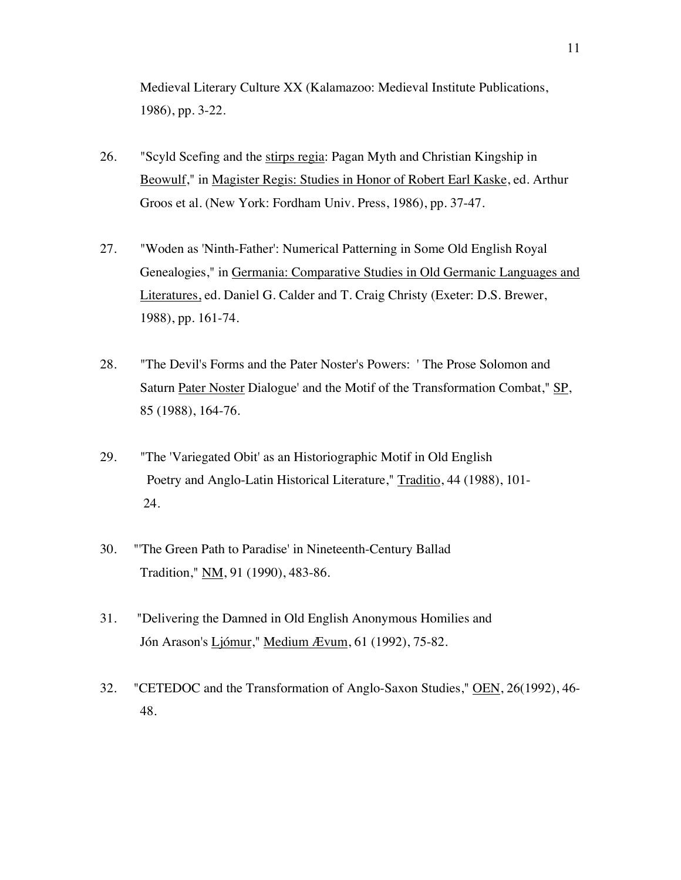Medieval Literary Culture XX (Kalamazoo: Medieval Institute Publications, 1986), pp. 3-22.

- 26. "Scyld Scefing and the stirps regia: Pagan Myth and Christian Kingship in Beowulf," in Magister Regis: Studies in Honor of Robert Earl Kaske, ed. Arthur Groos et al. (New York: Fordham Univ. Press, 1986), pp. 37-47.
- 27. "Woden as 'Ninth-Father': Numerical Patterning in Some Old English Royal Genealogies," in Germania: Comparative Studies in Old Germanic Languages and Literatures, ed. Daniel G. Calder and T. Craig Christy (Exeter: D.S. Brewer, 1988), pp. 161-74.
- 28. "The Devil's Forms and the Pater Noster's Powers: ' The Prose Solomon and Saturn Pater Noster Dialogue' and the Motif of the Transformation Combat," SP, 85 (1988), 164-76.
- 29. "The 'Variegated Obit' as an Historiographic Motif in Old English Poetry and Anglo-Latin Historical Literature," Traditio, 44 (1988), 101- 24.
- 30. "'The Green Path to Paradise' in Nineteenth-Century Ballad Tradition," NM, 91 (1990), 483-86.
- 31. "Delivering the Damned in Old English Anonymous Homilies and Jón Arason's Ljómur," Medium Ævum, 61 (1992), 75-82.
- 32. "CETEDOC and the Transformation of Anglo-Saxon Studies," OEN, 26(1992), 46-48.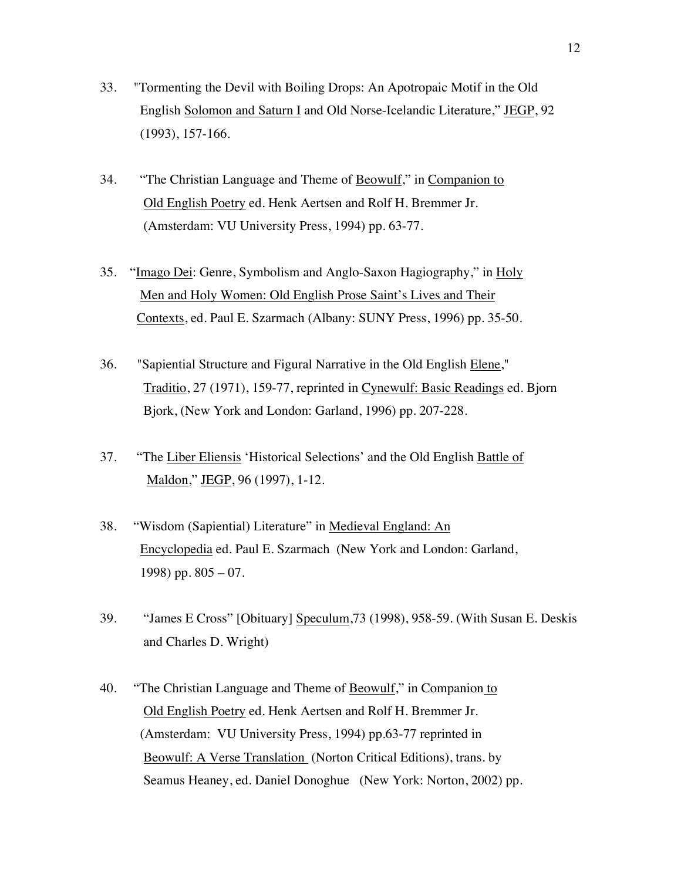- 33. "Tormenting the Devil with Boiling Drops: An Apotropaic Motif in the Old English Solomon and Saturn I and Old Norse-Icelandic Literature," JEGP, 92 (1993), 157-166.
- 34. "The Christian Language and Theme of Beowulf," in Companion to Old English Poetry ed. Henk Aertsen and Rolf H. Bremmer Jr. (Amsterdam: VU University Press, 1994) pp. 63-77.
- 35. "Imago Dei: Genre, Symbolism and Anglo-Saxon Hagiography," in Holy Men and Holy Women: Old English Prose Saint's Lives and Their Contexts, ed. Paul E. Szarmach (Albany: SUNY Press, 1996) pp. 35-50.
- 36. "Sapiential Structure and Figural Narrative in the Old English Elene," Traditio, 27 (1971), 159-77, reprinted in Cynewulf: Basic Readings ed. Bjorn Bjork, (New York and London: Garland, 1996) pp. 207-228.
- 37. "The Liber Eliensis 'Historical Selections' and the Old English Battle of Maldon," JEGP, 96 (1997), 1-12.
- 38. "Wisdom (Sapiential) Literature" in Medieval England: An Encyclopedia ed. Paul E. Szarmach (New York and London: Garland, 1998) pp.  $805 - 07$ .
- 39. "James E Cross" [Obituary] Speculum,73 (1998), 958-59. (With Susan E. Deskis and Charles D. Wright)
- 40. "The Christian Language and Theme of Beowulf," in Companion to Old English Poetry ed. Henk Aertsen and Rolf H. Bremmer Jr. (Amsterdam: VU University Press, 1994) pp.63-77 reprinted in Beowulf: A Verse Translation (Norton Critical Editions), trans. by Seamus Heaney, ed. Daniel Donoghue (New York: Norton, 2002) pp.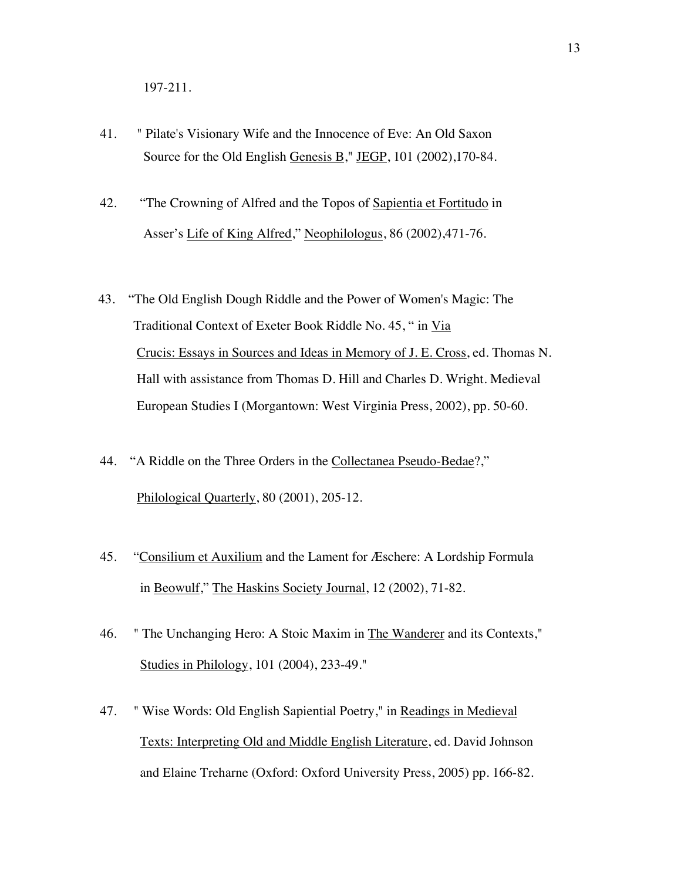- 41. " Pilate's Visionary Wife and the Innocence of Eve: An Old Saxon Source for the Old English Genesis B," JEGP, 101 (2002),170-84.
- 42. "The Crowning of Alfred and the Topos of Sapientia et Fortitudo in Asser's Life of King Alfred," Neophilologus, 86 (2002),471-76.
- 43. "The Old English Dough Riddle and the Power of Women's Magic: The Traditional Context of Exeter Book Riddle No. 45, " in Via Crucis: Essays in Sources and Ideas in Memory of J. E. Cross, ed. Thomas N. Hall with assistance from Thomas D. Hill and Charles D. Wright. Medieval European Studies I (Morgantown: West Virginia Press, 2002), pp. 50-60.
- 44. "A Riddle on the Three Orders in the Collectanea Pseudo-Bedae?," Philological Quarterly, 80 (2001), 205-12.
- 45. "Consilium et Auxilium and the Lament for Æschere: A Lordship Formula in Beowulf," The Haskins Society Journal, 12 (2002), 71-82.
- 46. " The Unchanging Hero: A Stoic Maxim in The Wanderer and its Contexts," Studies in Philology, 101 (2004), 233-49."
- 47. " Wise Words: Old English Sapiential Poetry," in Readings in Medieval Texts: Interpreting Old and Middle English Literature, ed. David Johnson and Elaine Treharne (Oxford: Oxford University Press, 2005) pp. 166-82.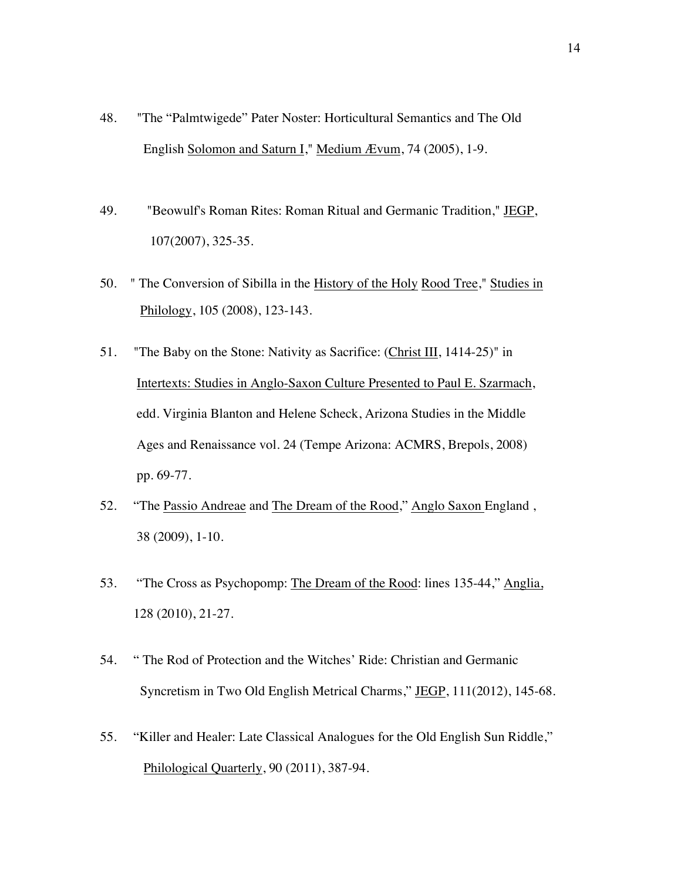- 48. "The "Palmtwigede" Pater Noster: Horticultural Semantics and The Old English Solomon and Saturn I," Medium Ævum, 74 (2005), 1-9.
- 49. "Beowulf's Roman Rites: Roman Ritual and Germanic Tradition," JEGP, 107(2007), 325-35.
- 50. " The Conversion of Sibilla in the History of the Holy Rood Tree," Studies in Philology, 105 (2008), 123-143.
- 51. "The Baby on the Stone: Nativity as Sacrifice: (Christ III, 1414-25)" in Intertexts: Studies in Anglo-Saxon Culture Presented to Paul E. Szarmach, edd. Virginia Blanton and Helene Scheck, Arizona Studies in the Middle Ages and Renaissance vol. 24 (Tempe Arizona: ACMRS, Brepols, 2008) pp. 69-77.
- 52. "The Passio Andreae and The Dream of the Rood," Anglo Saxon England , 38 (2009), 1-10.
- 53. "The Cross as Psychopomp: The Dream of the Rood: lines 135-44," Anglia, 128 (2010), 21-27.
- 54. " The Rod of Protection and the Witches' Ride: Christian and Germanic Syncretism in Two Old English Metrical Charms," JEGP, 111(2012), 145-68.
- 55. "Killer and Healer: Late Classical Analogues for the Old English Sun Riddle," Philological Quarterly, 90 (2011), 387-94.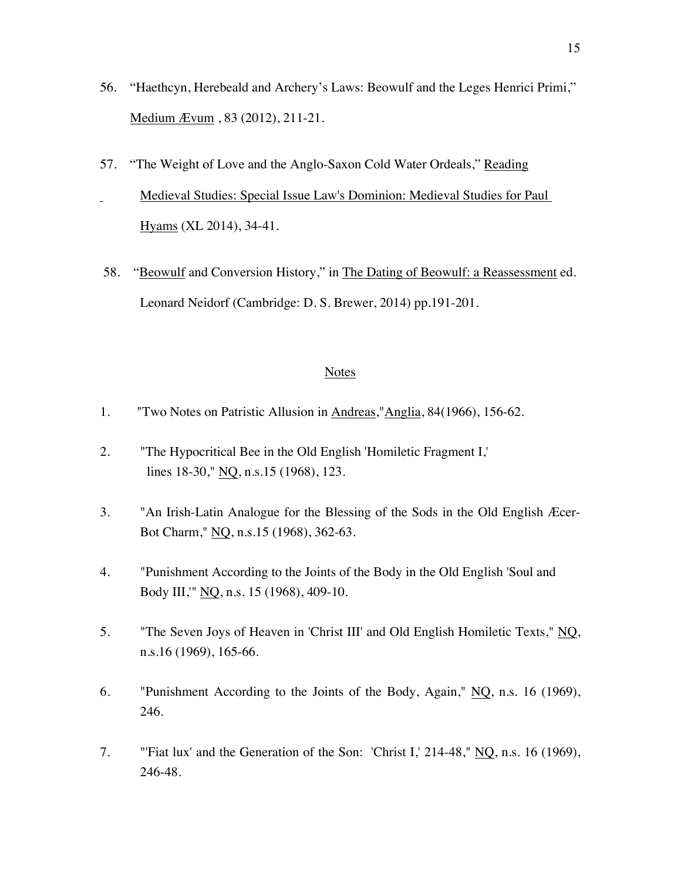- 56. "Haethcyn, Herebeald and Archery's Laws: Beowulf and the Leges Henrici Primi," Medium Ævum , 83 (2012), 211-21.
- 57. "The Weight of Love and the Anglo-Saxon Cold Water Ordeals," Reading Medieval Studies: Special Issue Law's Dominion: Medieval Studies for Paul Hyams (XL 2014), 34-41.
- 58. "Beowulf and Conversion History," in The Dating of Beowulf: a Reassessment ed. Leonard Neidorf (Cambridge: D. S. Brewer, 2014) pp.191-201.

- 1. "Two Notes on Patristic Allusion in Andreas,"Anglia, 84(1966), 156-62.
- 2. "The Hypocritical Bee in the Old English 'Homiletic Fragment I,' lines 18-30," NQ, n.s.15 (1968), 123.
- 3. "An Irish-Latin Analogue for the Blessing of the Sods in the Old English Æcer-Bot Charm," NQ, n.s.15 (1968), 362-63.
- 4. "Punishment According to the Joints of the Body in the Old English 'Soul and Body III,'" NQ, n.s. 15 (1968), 409-10.
- 5. "The Seven Joys of Heaven in 'Christ III' and Old English Homiletic Texts," NQ, n.s.16 (1969), 165-66.
- 6. "Punishment According to the Joints of the Body, Again," NQ, n.s. 16 (1969), 246.
- 7. "'Fiat lux' and the Generation of the Son: 'Christ I,' 214-48," NQ, n.s. 16 (1969), 246-48.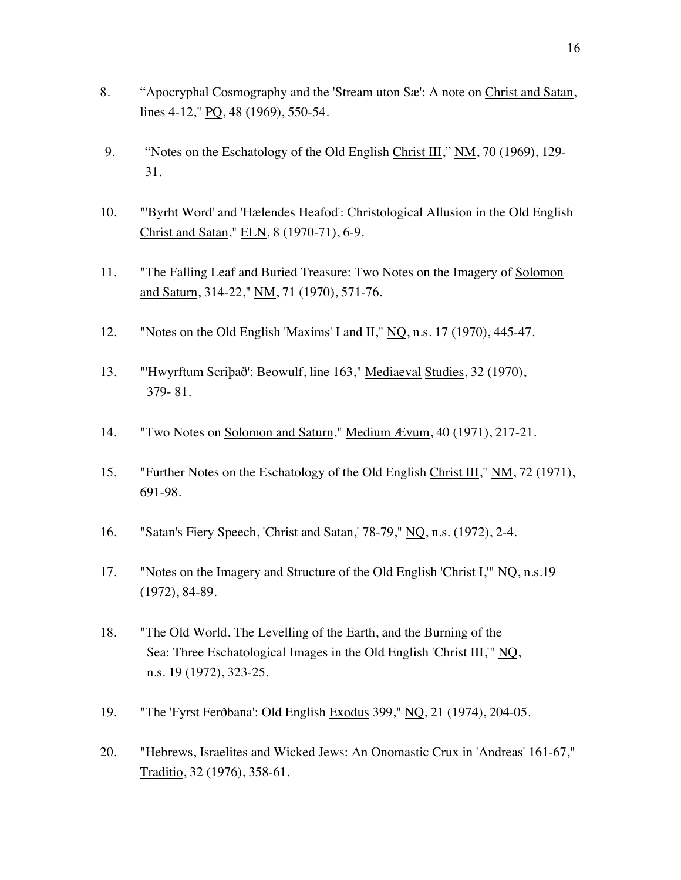- 8. "Apocryphal Cosmography and the 'Stream uton Sæ': A note on Christ and Satan, lines 4-12," PQ, 48 (1969), 550-54.
- 9. "Notes on the Eschatology of the Old English Christ III," NM, 70 (1969), 129-31.
- 10. "'Byrht Word' and 'Hælendes Heafod': Christological Allusion in the Old English Christ and Satan," ELN, 8 (1970-71), 6-9.
- 11. "The Falling Leaf and Buried Treasure: Two Notes on the Imagery of Solomon and Saturn, 314-22," NM, 71 (1970), 571-76.
- 12. "Notes on the Old English 'Maxims' I and II," NQ, n.s. 17 (1970), 445-47.
- 13. "'Hwyrftum Scriþað': Beowulf, line 163," Mediaeval Studies, 32 (1970), 379- 81.
- 14. "Two Notes on Solomon and Saturn," Medium Ævum, 40 (1971), 217-21.
- 15. "Further Notes on the Eschatology of the Old English Christ III," NM, 72 (1971), 691-98.
- 16. "Satan's Fiery Speech, 'Christ and Satan,' 78-79," NQ, n.s. (1972), 2-4.
- 17. "Notes on the Imagery and Structure of the Old English 'Christ I,'" NQ, n.s.19 (1972), 84-89.
- 18. "The Old World, The Levelling of the Earth, and the Burning of the Sea: Three Eschatological Images in the Old English 'Christ III,'" NQ, n.s. 19 (1972), 323-25.
- 19. "The 'Fyrst Ferðbana': Old English Exodus 399," NQ, 21 (1974), 204-05.
- 20. "Hebrews, Israelites and Wicked Jews: An Onomastic Crux in 'Andreas' 161-67," Traditio, 32 (1976), 358-61.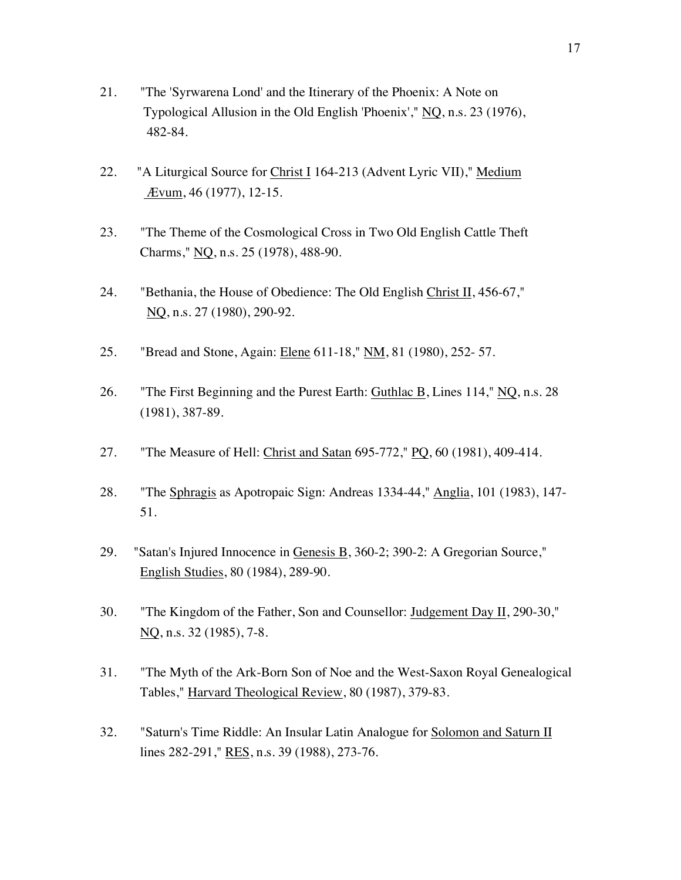- 21. "The 'Syrwarena Lond' and the Itinerary of the Phoenix: A Note on Typological Allusion in the Old English 'Phoenix'," NQ, n.s. 23 (1976), 482-84.
- 22. "A Liturgical Source for Christ I 164-213 (Advent Lyric VII)," Medium Ævum, 46 (1977), 12-15.
- 23. "The Theme of the Cosmological Cross in Two Old English Cattle Theft Charms," NQ, n.s. 25 (1978), 488-90.
- 24. "Bethania, the House of Obedience: The Old English Christ II, 456-67," NQ, n.s. 27 (1980), 290-92.
- 25. "Bread and Stone, Again: Elene 611-18," NM, 81 (1980), 252-57.
- 26. "The First Beginning and the Purest Earth: Guthlac B, Lines 114," NQ, n.s. 28 (1981), 387-89.
- 27. "The Measure of Hell: Christ and Satan 695-772," PQ, 60 (1981), 409-414.
- 28. "The Sphragis as Apotropaic Sign: Andreas 1334-44," Anglia, 101 (1983), 147- 51.
- 29. "Satan's Injured Innocence in Genesis B, 360-2; 390-2: A Gregorian Source," English Studies, 80 (1984), 289-90.
- 30. "The Kingdom of the Father, Son and Counsellor: Judgement Day II, 290-30," NQ, n.s. 32 (1985), 7-8.
- 31. "The Myth of the Ark-Born Son of Noe and the West-Saxon Royal Genealogical Tables," Harvard Theological Review, 80 (1987), 379-83.
- 32. "Saturn's Time Riddle: An Insular Latin Analogue for Solomon and Saturn II lines 282-291," RES, n.s. 39 (1988), 273-76.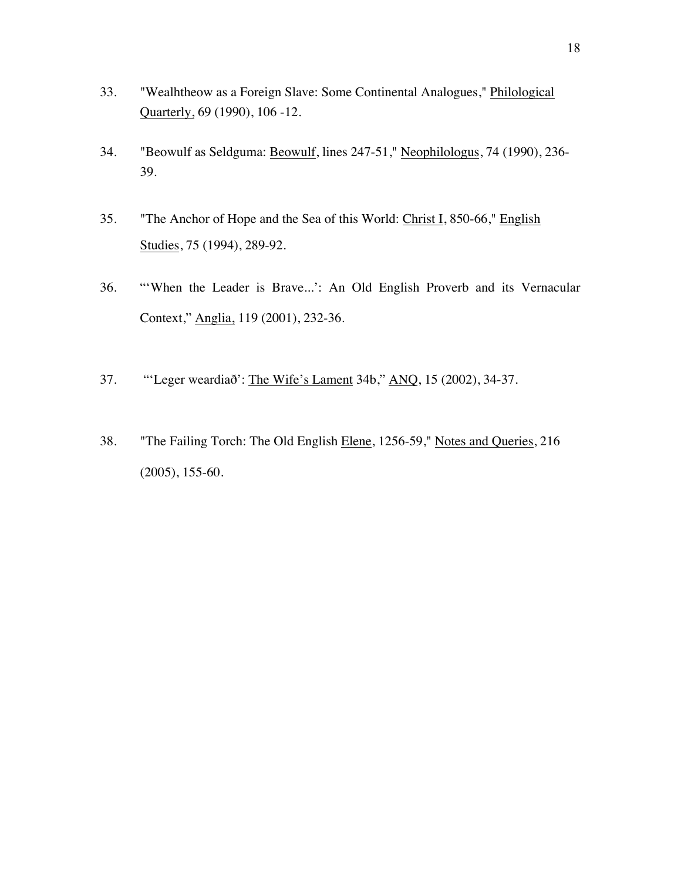- 33. "Wealhtheow as a Foreign Slave: Some Continental Analogues," Philological Quarterly, 69 (1990), 106 -12.
- 34. "Beowulf as Seldguma: Beowulf, lines 247-51," Neophilologus, 74 (1990), 236- 39.
- 35. "The Anchor of Hope and the Sea of this World: Christ I, 850-66," English Studies, 75 (1994), 289-92.
- 36. "'When the Leader is Brave...': An Old English Proverb and its Vernacular Context," Anglia, 119 (2001), 232-36.
- 37. "'Leger weardiað': The Wife's Lament 34b," ANQ, 15 (2002), 34-37.
- 38. "The Failing Torch: The Old English Elene, 1256-59," Notes and Queries, 216 (2005), 155-60.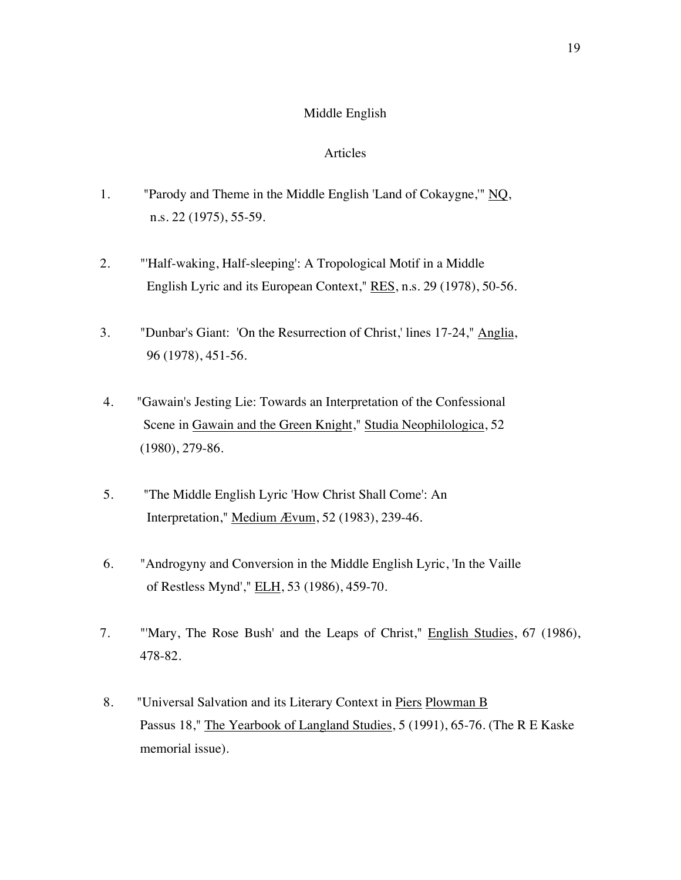#### Middle English

- 1. "Parody and Theme in the Middle English 'Land of Cokaygne,'" NQ, n.s. 22 (1975), 55-59.
- 2. "'Half-waking, Half-sleeping': A Tropological Motif in a Middle English Lyric and its European Context," RES, n.s. 29 (1978), 50-56.
- 3. "Dunbar's Giant: 'On the Resurrection of Christ,' lines 17-24," Anglia, 96 (1978), 451-56.
- 4. "Gawain's Jesting Lie: Towards an Interpretation of the Confessional Scene in Gawain and the Green Knight," Studia Neophilologica, 52 (1980), 279-86.
- 5. "The Middle English Lyric 'How Christ Shall Come': An Interpretation," Medium Ævum, 52 (1983), 239-46.
- 6. "Androgyny and Conversion in the Middle English Lyric, 'In the Vaille of Restless Mynd'," ELH, 53 (1986), 459-70.
- 7. "'Mary, The Rose Bush' and the Leaps of Christ," English Studies, 67 (1986), 478-82.
- 8. "Universal Salvation and its Literary Context in Piers Plowman B Passus 18," The Yearbook of Langland Studies, 5 (1991), 65-76. (The R E Kaske memorial issue).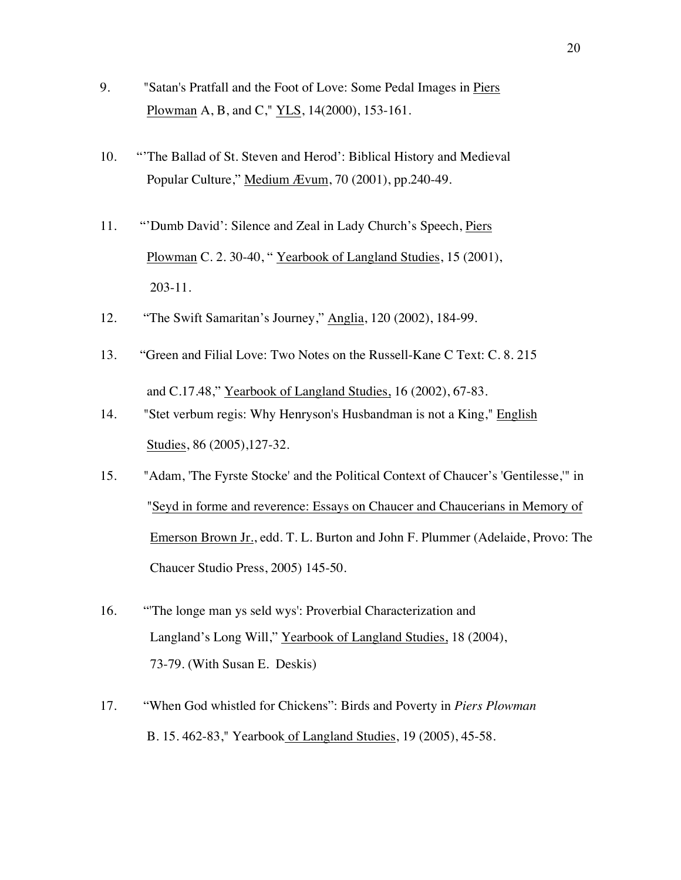- 9. "Satan's Pratfall and the Foot of Love: Some Pedal Images in Piers Plowman A, B, and C," YLS, 14(2000), 153-161.
- 10. "'The Ballad of St. Steven and Herod': Biblical History and Medieval Popular Culture," Medium Ævum, 70 (2001), pp.240-49.
- 11. "'Dumb David': Silence and Zeal in Lady Church's Speech, Piers Plowman C. 2. 30-40, " Yearbook of Langland Studies, 15 (2001), 203-11.
- 12. "The Swift Samaritan's Journey," Anglia, 120 (2002), 184-99.
- 13. "Green and Filial Love: Two Notes on the Russell-Kane C Text: C. 8. 215 and C.17.48," Yearbook of Langland Studies, 16 (2002), 67-83.
- 14. "Stet verbum regis: Why Henryson's Husbandman is not a King," English Studies, 86 (2005),127-32.
- 15. "Adam, 'The Fyrste Stocke' and the Political Context of Chaucer's 'Gentilesse,'" in "Seyd in forme and reverence: Essays on Chaucer and Chaucerians in Memory of Emerson Brown Jr., edd. T. L. Burton and John F. Plummer (Adelaide, Provo: The Chaucer Studio Press, 2005) 145-50.
- 16. "'The longe man ys seld wys': Proverbial Characterization and Langland's Long Will," Yearbook of Langland Studies, 18 (2004), 73-79. (With Susan E. Deskis)
- 17. "When God whistled for Chickens": Birds and Poverty in *Piers Plowman* B. 15. 462-83," Yearbook of Langland Studies, 19 (2005), 45-58.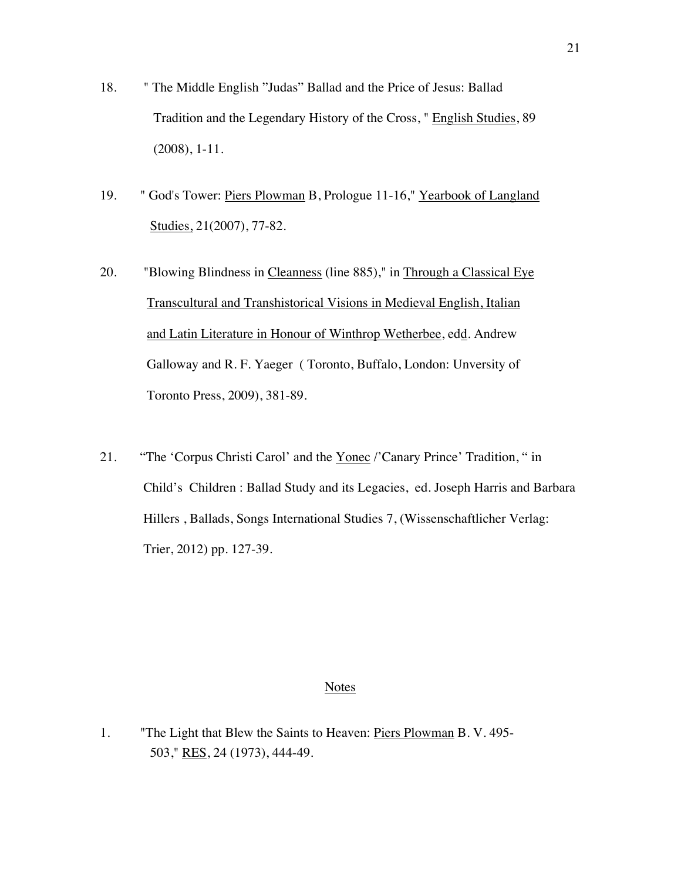- 18. " The Middle English "Judas" Ballad and the Price of Jesus: Ballad Tradition and the Legendary History of the Cross, " English Studies, 89 (2008), 1-11.
- 19. " God's Tower: Piers Plowman B, Prologue 11-16," Yearbook of Langland Studies, 21(2007), 77-82.
- 20. "Blowing Blindness in Cleanness (line 885)," in Through a Classical Eye Transcultural and Transhistorical Visions in Medieval English, Italian and Latin Literature in Honour of Winthrop Wetherbee, edd. Andrew Galloway and R. F. Yaeger ( Toronto, Buffalo, London: Unversity of Toronto Press, 2009), 381-89.
- 21. "The 'Corpus Christi Carol' and the Yonec /'Canary Prince' Tradition, " in Child's Children : Ballad Study and its Legacies, ed. Joseph Harris and Barbara Hillers , Ballads, Songs International Studies 7, (Wissenschaftlicher Verlag: Trier, 2012) pp. 127-39.

1. "The Light that Blew the Saints to Heaven: Piers Plowman B. V. 495- 503," RES, 24 (1973), 444-49.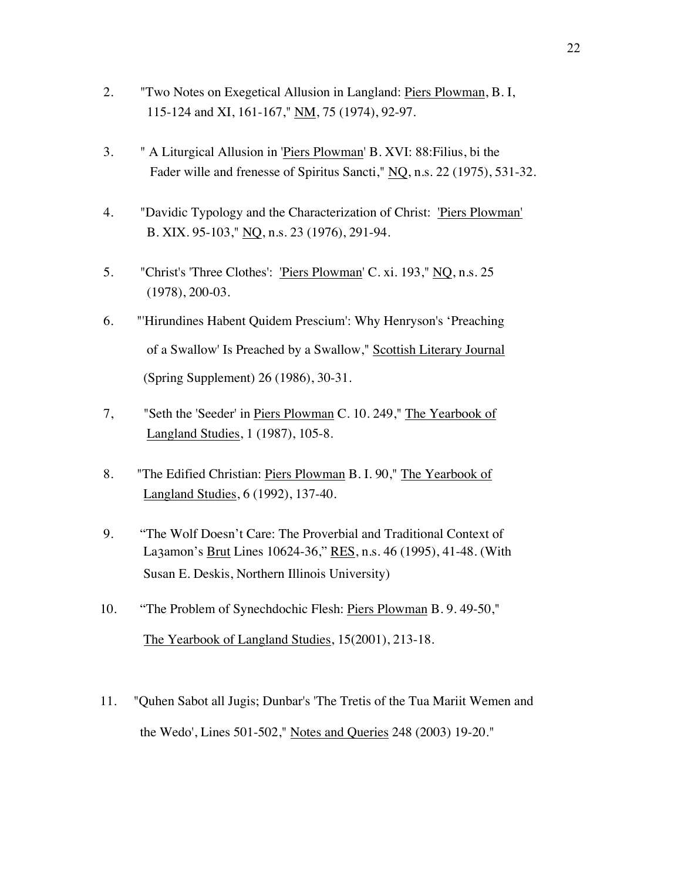- 2. "Two Notes on Exegetical Allusion in Langland: Piers Plowman, B. I, 115-124 and XI, 161-167," NM, 75 (1974), 92-97.
- 3. " A Liturgical Allusion in 'Piers Plowman' B. XVI: 88:Filius, bi the Fader wille and frenesse of Spiritus Sancti," NQ, n.s. 22 (1975), 531-32.
- 4. "Davidic Typology and the Characterization of Christ: 'Piers Plowman' B. XIX. 95-103," NQ, n.s. 23 (1976), 291-94.
- 5. "Christ's 'Three Clothes': 'Piers Plowman' C. xi. 193," NQ, n.s. 25 (1978), 200-03.
- 6. "'Hirundines Habent Quidem Prescium': Why Henryson's 'Preaching of a Swallow' Is Preached by a Swallow," Scottish Literary Journal (Spring Supplement) 26 (1986), 30-31.
- 7, "Seth the 'Seeder' in Piers Plowman C. 10. 249," The Yearbook of Langland Studies, 1 (1987), 105-8.
- 8. "The Edified Christian: Piers Plowman B. I. 90," The Yearbook of Langland Studies, 6 (1992), 137-40.
- 9. "The Wolf Doesn't Care: The Proverbial and Traditional Context of La3amon's Brut Lines 10624-36," RES, n.s. 46 (1995), 41-48. (With Susan E. Deskis, Northern Illinois University)
- 10. "The Problem of Synechdochic Flesh: Piers Plowman B. 9. 49-50," The Yearbook of Langland Studies, 15(2001), 213-18.
- 11. "Quhen Sabot all Jugis; Dunbar's 'The Tretis of the Tua Mariit Wemen and the Wedo', Lines 501-502," Notes and Queries 248 (2003) 19-20."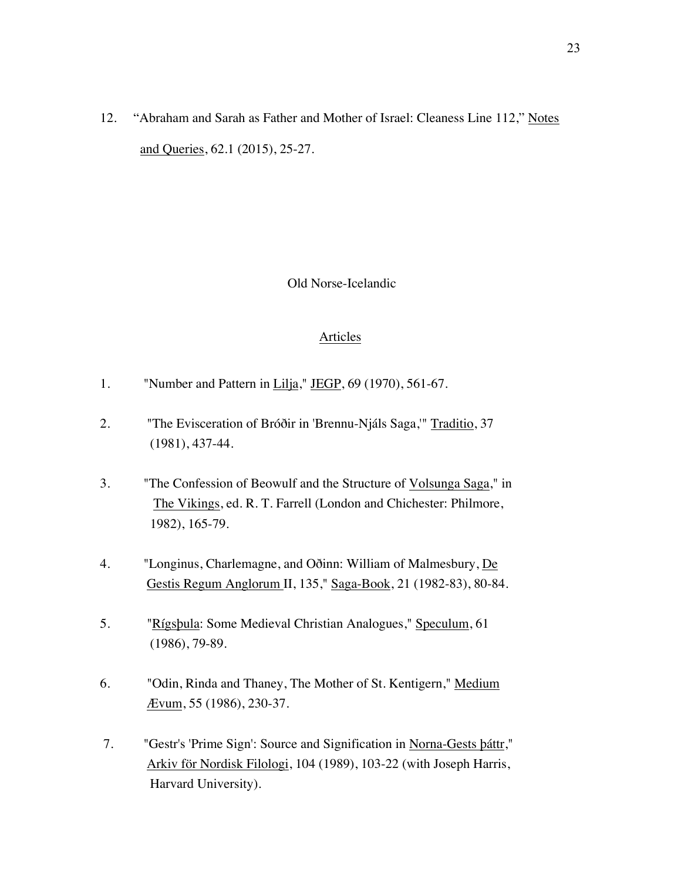12. "Abraham and Sarah as Father and Mother of Israel: Cleaness Line 112," Notes and Queries, 62.1 (2015), 25-27.

## Old Norse-Icelandic

- 1. "Number and Pattern in Lilja," JEGP,  $69$  (1970), 561-67.
- 2. "The Evisceration of Bróðir in 'Brennu-Njáls Saga,'" Traditio, 37 (1981), 437-44.
- 3. "The Confession of Beowulf and the Structure of Volsunga Saga," in The Vikings, ed. R. T. Farrell (London and Chichester: Philmore, 1982), 165-79.
- 4. "Longinus, Charlemagne, and Oðinn: William of Malmesbury, De Gestis Regum Anglorum II, 135," Saga-Book, 21 (1982-83), 80-84.
- 5. "Rígsþula: Some Medieval Christian Analogues," Speculum, 61 (1986), 79-89.
- 6. "Odin, Rinda and Thaney, The Mother of St. Kentigern," Medium Ævum, 55 (1986), 230-37.
- 7. "Gestr's 'Prime Sign': Source and Signification in Norna-Gests þáttr," Arkiv för Nordisk Filologi, 104 (1989), 103-22 (with Joseph Harris, Harvard University).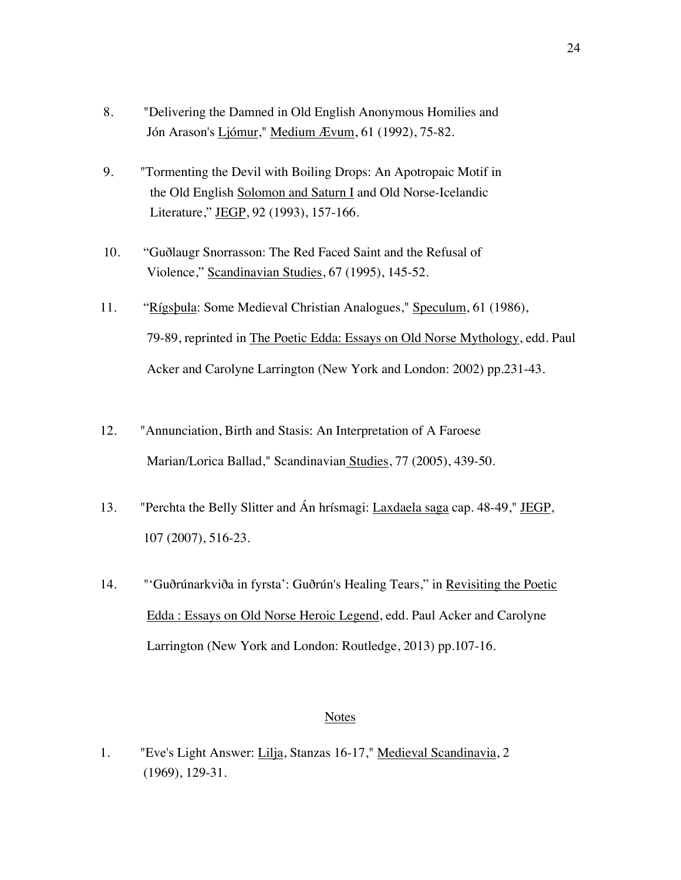- 8. "Delivering the Damned in Old English Anonymous Homilies and Jón Arason's Ljómur," Medium Ævum, 61 (1992), 75-82.
- 9. "Tormenting the Devil with Boiling Drops: An Apotropaic Motif in the Old English Solomon and Saturn I and Old Norse-Icelandic Literature," JEGP, 92 (1993), 157-166.
- 10. "Guðlaugr Snorrasson: The Red Faced Saint and the Refusal of Violence," Scandinavian Studies, 67 (1995), 145-52.
- 11. "Rígsþula: Some Medieval Christian Analogues," Speculum, 61 (1986), 79-89, reprinted in The Poetic Edda: Essays on Old Norse Mythology, edd. Paul Acker and Carolyne Larrington (New York and London: 2002) pp.231-43.
- 12. "Annunciation, Birth and Stasis: An Interpretation of A Faroese Marian/Lorica Ballad," Scandinavian Studies, 77 (2005), 439-50.
- 13. "Perchta the Belly Slitter and Án hrísmagi: Laxdaela saga cap. 48-49," JEGP, 107 (2007), 516-23.
- 14. "'Guðrúnarkviða in fyrsta': Guðrún's Healing Tears," in Revisiting the Poetic Edda : Essays on Old Norse Heroic Legend, edd. Paul Acker and Carolyne Larrington (New York and London: Routledge, 2013) pp.107-16.

1. "Eve's Light Answer: Lilja, Stanzas 16-17," Medieval Scandinavia, 2 (1969), 129-31.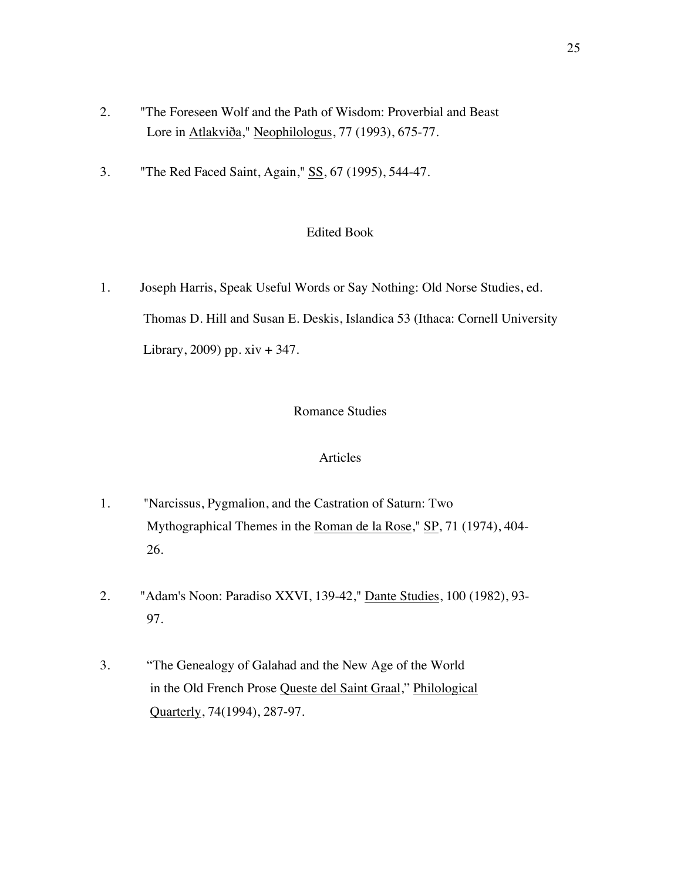- 2. "The Foreseen Wolf and the Path of Wisdom: Proverbial and Beast Lore in Atlakviða," Neophilologus, 77 (1993), 675-77.
- 3. "The Red Faced Saint, Again," SS, 67 (1995), 544-47.

## Edited Book

1. Joseph Harris, Speak Useful Words or Say Nothing: Old Norse Studies, ed. Thomas D. Hill and Susan E. Deskis, Islandica 53 (Ithaca: Cornell University Library, 2009) pp. xiv + 347.

## Romance Studies

- 1. "Narcissus, Pygmalion, and the Castration of Saturn: Two Mythographical Themes in the Roman de la Rose," SP, 71 (1974), 404- 26.
- 2. "Adam's Noon: Paradiso XXVI, 139-42," Dante Studies, 100 (1982), 93- 97.
- 3. "The Genealogy of Galahad and the New Age of the World in the Old French Prose Queste del Saint Graal," Philological Quarterly, 74(1994), 287-97.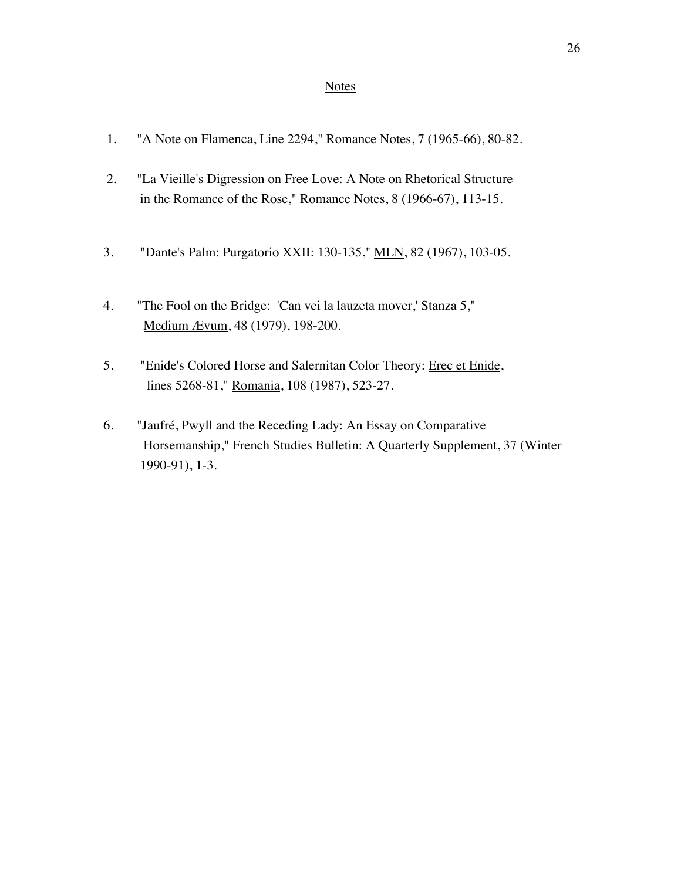- 1. "A Note on Flamenca, Line 2294," Romance Notes, 7 (1965-66), 80-82.
- 2. "La Vieille's Digression on Free Love: A Note on Rhetorical Structure in the Romance of the Rose," Romance Notes, 8 (1966-67), 113-15.
- 3. "Dante's Palm: Purgatorio XXII: 130-135," MLN, 82 (1967), 103-05.
- 4. "The Fool on the Bridge: 'Can vei la lauzeta mover,' Stanza 5," Medium Ævum, 48 (1979), 198-200.
- 5. "Enide's Colored Horse and Salernitan Color Theory: Erec et Enide, lines 5268-81," Romania, 108 (1987), 523-27.
- 6. "Jaufré, Pwyll and the Receding Lady: An Essay on Comparative Horsemanship," French Studies Bulletin: A Quarterly Supplement, 37 (Winter 1990-91), 1-3.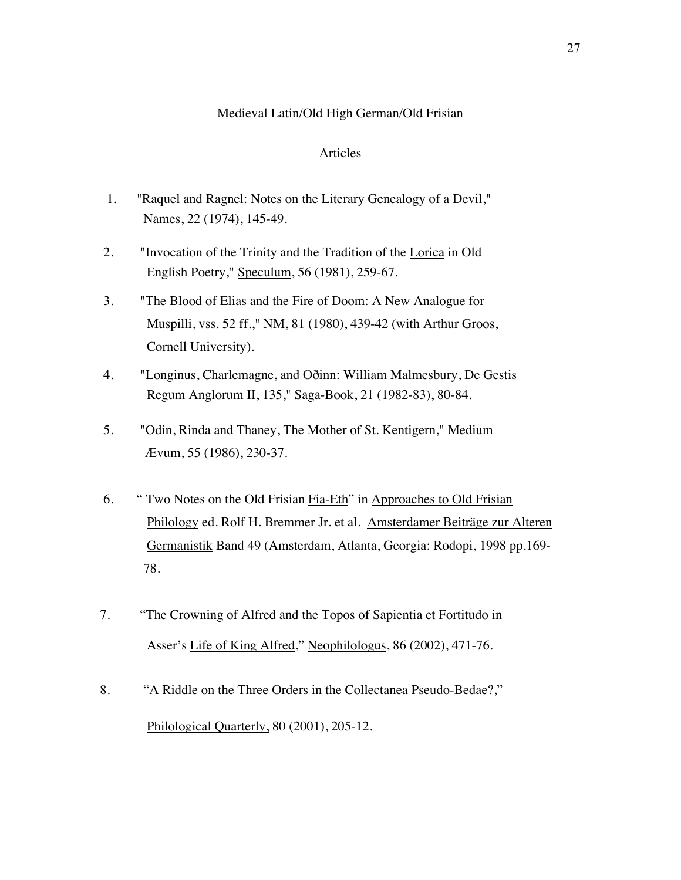## Medieval Latin/Old High German/Old Frisian

- 1. "Raquel and Ragnel: Notes on the Literary Genealogy of a Devil," Names, 22 (1974), 145-49.
- 2. "Invocation of the Trinity and the Tradition of the Lorica in Old English Poetry," Speculum, 56 (1981), 259-67.
- 3. "The Blood of Elias and the Fire of Doom: A New Analogue for Muspilli, vss. 52 ff.," NM, 81 (1980), 439-42 (with Arthur Groos, Cornell University).
- 4. "Longinus, Charlemagne, and Oðinn: William Malmesbury, De Gestis Regum Anglorum II, 135," Saga-Book, 21 (1982-83), 80-84.
- 5. "Odin, Rinda and Thaney, The Mother of St. Kentigern," Medium Ævum, 55 (1986), 230-37.
- 6. " Two Notes on the Old Frisian Fia-Eth" in Approaches to Old Frisian Philology ed. Rolf H. Bremmer Jr. et al. Amsterdamer Beiträge zur Alteren Germanistik Band 49 (Amsterdam, Atlanta, Georgia: Rodopi, 1998 pp.169- 78.
- 7. "The Crowning of Alfred and the Topos of Sapientia et Fortitudo in Asser's Life of King Alfred," Neophilologus, 86 (2002), 471-76.
- 8. "A Riddle on the Three Orders in the Collectanea Pseudo-Bedae?," Philological Quarterly, 80 (2001), 205-12.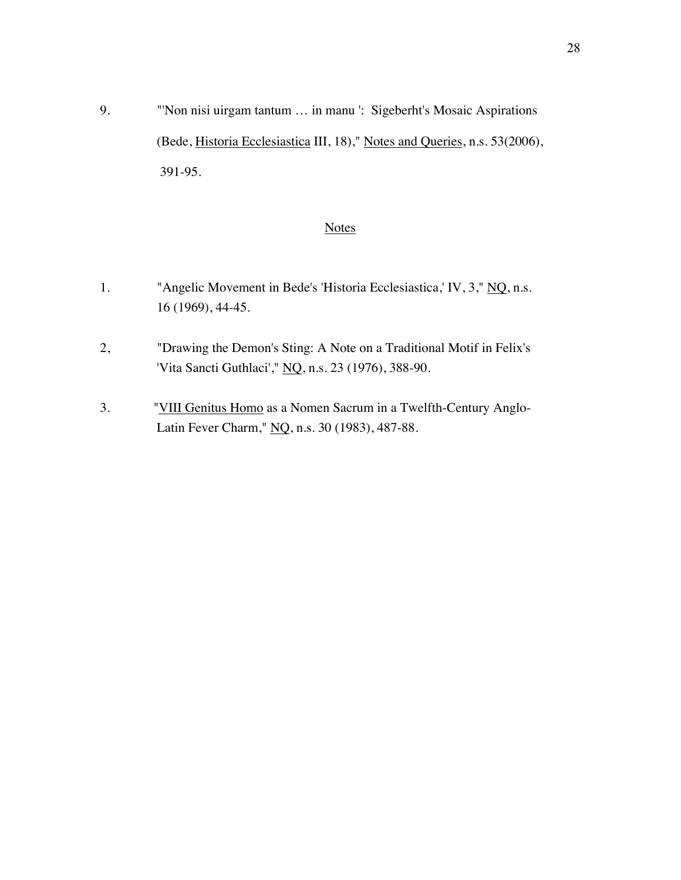9. "'Non nisi uirgam tantum ... in manu ': Sigeberht's Mosaic Aspirations (Bede, Historia Ecclesiastica III, 18)," Notes and Queries, n.s. 53(2006), 391-95.

# **Notes**

- 1. "Angelic Movement in Bede's 'Historia Ecclesiastica,' IV, 3," NQ, n.s. 16 (1969), 44-45.
- 2, "Drawing the Demon's Sting: A Note on a Traditional Motif in Felix's 'Vita Sancti Guthlaci'," NQ, n.s. 23 (1976), 388-90.
- 3. "VIII Genitus Homo as a Nomen Sacrum in a Twelfth-Century Anglo- Latin Fever Charm," NQ, n.s. 30 (1983), 487-88.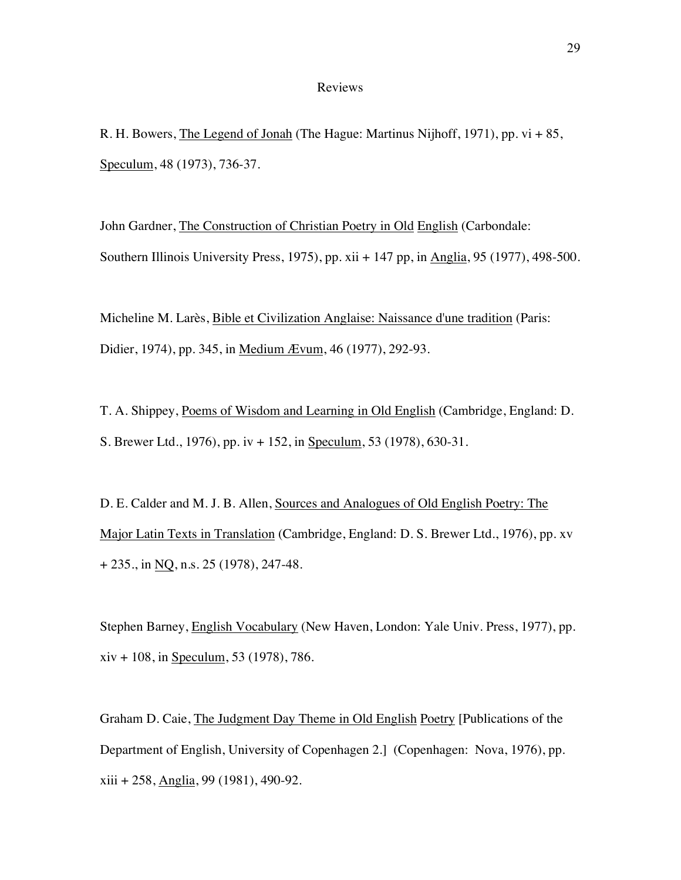### Reviews

R. H. Bowers, The Legend of Jonah (The Hague: Martinus Nijhoff, 1971), pp. vi + 85, Speculum, 48 (1973), 736-37.

John Gardner, The Construction of Christian Poetry in Old English (Carbondale: Southern Illinois University Press, 1975), pp. xii + 147 pp, in Anglia, 95 (1977), 498-500.

Micheline M. Larès, Bible et Civilization Anglaise: Naissance d'une tradition (Paris: Didier, 1974), pp. 345, in Medium Ævum, 46 (1977), 292-93.

T. A. Shippey, Poems of Wisdom and Learning in Old English (Cambridge, England: D. S. Brewer Ltd., 1976), pp. iv + 152, in Speculum, 53 (1978), 630-31.

D. E. Calder and M. J. B. Allen, Sources and Analogues of Old English Poetry: The Major Latin Texts in Translation (Cambridge, England: D. S. Brewer Ltd., 1976), pp. xv + 235., in NQ, n.s. 25 (1978), 247-48.

Stephen Barney, English Vocabulary (New Haven, London: Yale Univ. Press, 1977), pp.  $xiv + 108$ , in Speculum, 53 (1978), 786.

Graham D. Caie, The Judgment Day Theme in Old English Poetry [Publications of the Department of English, University of Copenhagen 2.] (Copenhagen: Nova, 1976), pp. xiii + 258, Anglia, 99 (1981), 490-92.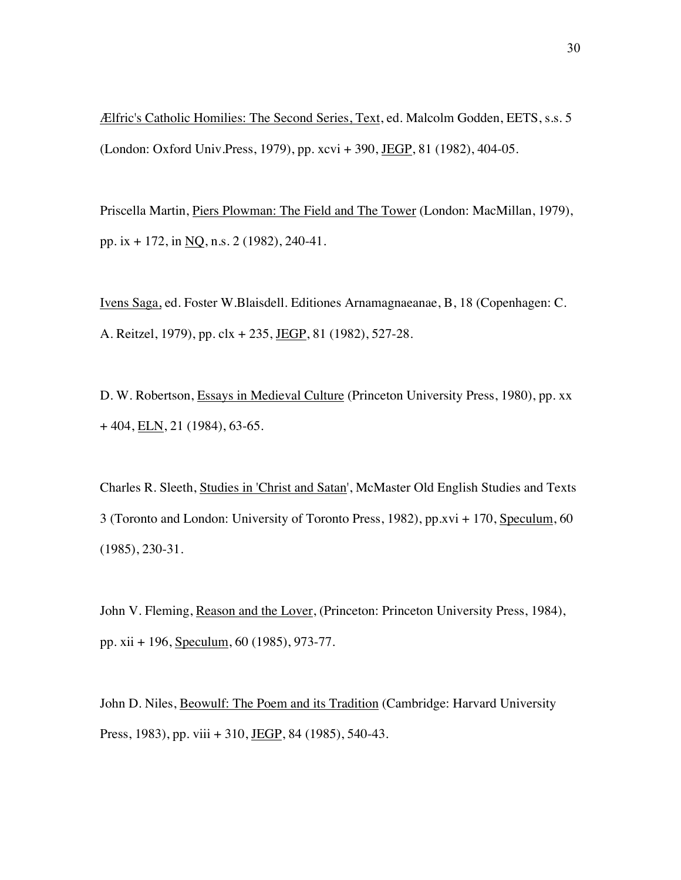Ælfric's Catholic Homilies: The Second Series, Text, ed. Malcolm Godden, EETS, s.s. 5 (London: Oxford Univ.Press, 1979), pp. xcvi + 390, JEGP, 81 (1982), 404-05.

Priscella Martin, Piers Plowman: The Field and The Tower (London: MacMillan, 1979), pp. ix + 172, in NQ, n.s. 2 (1982), 240-41.

Ivens Saga, ed. Foster W.Blaisdell. Editiones Arnamagnaeanae, B, 18 (Copenhagen: C. A. Reitzel, 1979), pp. clx + 235, JEGP, 81 (1982), 527-28.

D. W. Robertson, Essays in Medieval Culture (Princeton University Press, 1980), pp. xx  $+404, ELN, 21 (1984), 63-65.$ 

Charles R. Sleeth, Studies in 'Christ and Satan', McMaster Old English Studies and Texts 3 (Toronto and London: University of Toronto Press, 1982), pp.xvi + 170, Speculum, 60 (1985), 230-31.

John V. Fleming, Reason and the Lover, (Princeton: Princeton University Press, 1984), pp. xii + 196, Speculum, 60 (1985), 973-77.

John D. Niles, Beowulf: The Poem and its Tradition (Cambridge: Harvard University Press, 1983), pp. viii + 310, JEGP, 84 (1985), 540-43.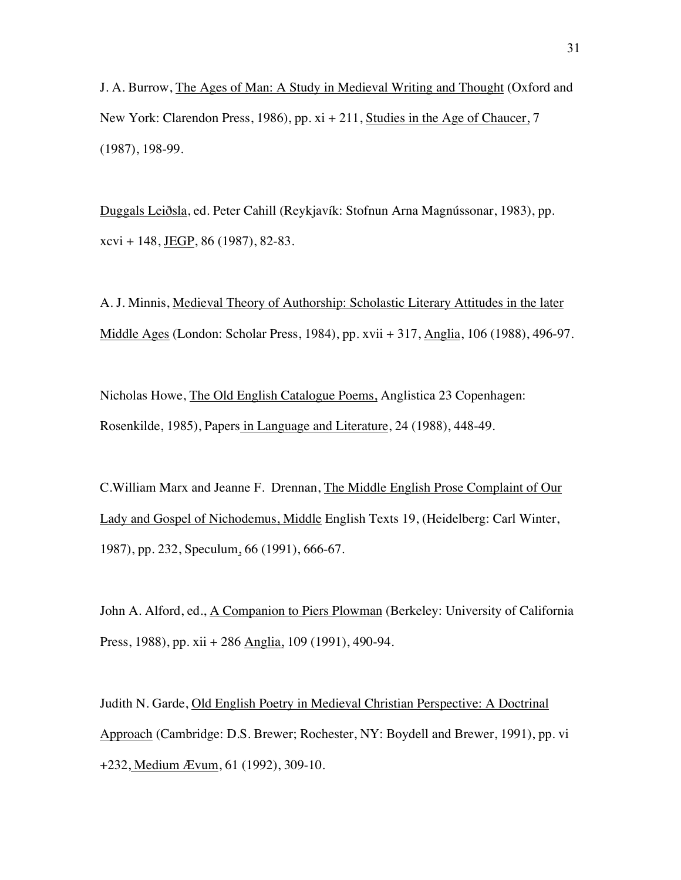J. A. Burrow, The Ages of Man: A Study in Medieval Writing and Thought (Oxford and New York: Clarendon Press, 1986), pp. xi + 211, Studies in the Age of Chaucer, 7 (1987), 198-99.

Duggals Leiðsla, ed. Peter Cahill (Reykjavík: Stofnun Arna Magnússonar, 1983), pp. xcvi + 148, JEGP, 86 (1987), 82-83.

A. J. Minnis, Medieval Theory of Authorship: Scholastic Literary Attitudes in the later Middle Ages (London: Scholar Press, 1984), pp. xvii + 317, Anglia, 106 (1988), 496-97.

Nicholas Howe, The Old English Catalogue Poems, Anglistica 23 Copenhagen: Rosenkilde, 1985), Papers in Language and Literature, 24 (1988), 448-49.

C.William Marx and Jeanne F. Drennan, The Middle English Prose Complaint of Our Lady and Gospel of Nichodemus, Middle English Texts 19, (Heidelberg: Carl Winter, 1987), pp. 232, Speculum, 66 (1991), 666-67.

John A. Alford, ed., A Companion to Piers Plowman (Berkeley: University of California Press, 1988), pp. xii + 286 Anglia, 109 (1991), 490-94.

Judith N. Garde, Old English Poetry in Medieval Christian Perspective: A Doctrinal Approach (Cambridge: D.S. Brewer; Rochester, NY: Boydell and Brewer, 1991), pp. vi +232, Medium Ævum, 61 (1992), 309-10.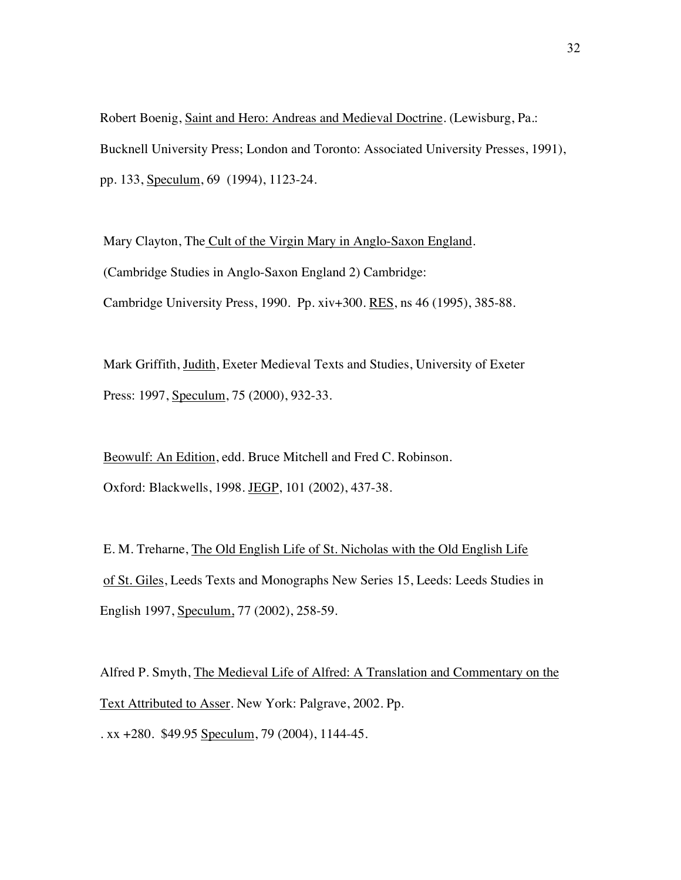Robert Boenig, Saint and Hero: Andreas and Medieval Doctrine. (Lewisburg, Pa.: Bucknell University Press; London and Toronto: Associated University Presses, 1991), pp. 133, Speculum, 69 (1994), 1123-24.

Mary Clayton, The Cult of the Virgin Mary in Anglo-Saxon England. (Cambridge Studies in Anglo-Saxon England 2) Cambridge: Cambridge University Press, 1990. Pp. xiv+300. RES, ns 46 (1995), 385-88.

Mark Griffith, Judith, Exeter Medieval Texts and Studies, University of Exeter Press: 1997, Speculum, 75 (2000), 932-33.

Beowulf: An Edition, edd. Bruce Mitchell and Fred C. Robinson. Oxford: Blackwells, 1998. JEGP, 101 (2002), 437-38.

E. M. Treharne, The Old English Life of St. Nicholas with the Old English Life of St. Giles, Leeds Texts and Monographs New Series 15, Leeds: Leeds Studies in English 1997, Speculum, 77 (2002), 258-59.

Alfred P. Smyth, The Medieval Life of Alfred: A Translation and Commentary on the Text Attributed to Asser. New York: Palgrave, 2002. Pp. . xx +280. \$49.95 Speculum, 79 (2004), 1144-45.